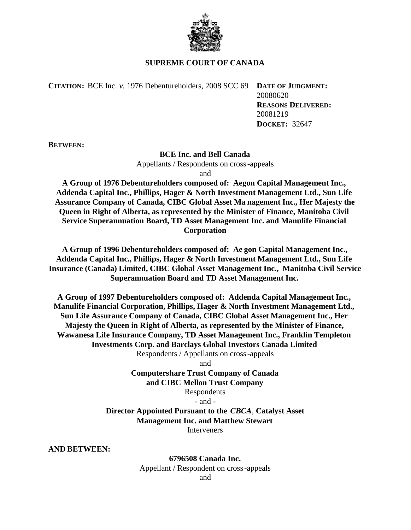

## **SUPREME COURT OF CANADA**

**CITATION:** BCE Inc. *v.* 1976 Debentureholders, 2008 SCC 69 **DATE OF JUDGMENT:**

20080620 **REASONS DELIVERED:** 20081219 **DOCKET:** 32647

**BETWEEN:**

## **BCE Inc. and Bell Canada**

Appellants / Respondents on cross-appeals

and

**A Group of 1976 Debentureholders composed of: Aegon Capital Management Inc., Addenda Capital Inc., Phillips, Hager & North Investment Management Ltd., Sun Life Assurance Company of Canada, CIBC Global Asset Ma nagement Inc., Her Majesty the Queen in Right of Alberta, as represented by the Minister of Finance, Manitoba Civil Service Superannuation Board, TD Asset Management Inc. and Manulife Financial Corporation**

**A Group of 1996 Debentureholders composed of: Ae gon Capital Management Inc., Addenda Capital Inc., Phillips, Hager & North Investment Management Ltd., Sun Life Insurance (Canada) Limited, CIBC Global Asset Management Inc., Manitoba Civil Service Superannuation Board and TD Asset Management Inc.**

**A Group of 1997 Debentureholders composed of: Addenda Capital Management Inc., Manulife Financial Corporation, Phillips, Hager & North Investment Management Ltd., Sun Life Assurance Company of Canada, CIBC Global Asset Management Inc., Her Majesty the Queen in Right of Alberta, as represented by the Minister of Finance, Wawanesa Life Insurance Company, TD Asset Management Inc., Franklin Templeton Investments Corp. and Barclays Global Investors Canada Limited** Respondents / Appellants on cross-appeals

and

# **Computershare Trust Company of Canada and CIBC Mellon Trust Company**

Respondents

- and -

**Director Appointed Pursuant to the** *CBCA*, **Catalyst Asset Management Inc. and Matthew Stewart Interveners** 

**AND BETWEEN:**

**6796508 Canada Inc.** Appellant / Respondent on cross-appeals and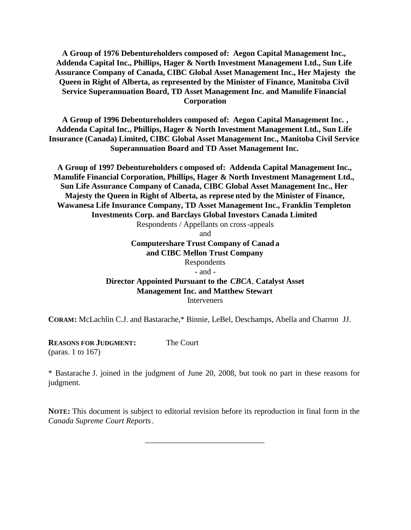**A Group of 1976 Debentureholders composed of: Aegon Capital Management Inc., Addenda Capital Inc., Phillips, Hager & North Investment Management Ltd., Sun Life Assurance Company of Canada, CIBC Global Asset Management Inc., Her Majesty the Queen in Right of Alberta, as represented by the Minister of Finance, Manitoba Civil Service Superannuation Board, TD Asset Management Inc. and Manulife Financial Corporation**

**A Group of 1996 Debentureholders composed of: Aegon Capital Management Inc. , Addenda Capital Inc., Phillips, Hager & North Investment Management Ltd., Sun Life Insurance (Canada) Limited, CIBC Global Asset Management Inc., Manitoba Civil Service Superannuation Board and TD Asset Management Inc.**

**A Group of 1997 Debentureholders c omposed of: Addenda Capital Management Inc., Manulife Financial Corporation, Phillips, Hager & North Investment Management Ltd., Sun Life Assurance Company of Canada, CIBC Global Asset Management Inc., Her Majesty the Queen in Right of Alberta, as represe nted by the Minister of Finance, Wawanesa Life Insurance Company, TD Asset Management Inc., Franklin Templeton Investments Corp. and Barclays Global Investors Canada Limited** Respondents / Appellants on cross-appeals

and **Computershare Trust Company of Canad a and CIBC Mellon Trust Company** Respondents - and - **Director Appointed Pursuant to the** *CBCA*, **Catalyst Asset Management Inc. and Matthew Stewart Interveners** 

**CORAM:** McLachlin C.J. and Bastarache,\* Binnie, LeBel, Deschamps, Abella and Charron JJ.

**REASONS FOR JUDGMENT:** (paras. 1 to 167) The Court

\* Bastarache J. joined in the judgment of June 20, 2008, but took no part in these reasons for judgment.

**NOTE:** This document is subject to editorial revision before its reproduction in final form in the *Canada Supreme Court Reports*.

\_\_\_\_\_\_\_\_\_\_\_\_\_\_\_\_\_\_\_\_\_\_\_\_\_\_\_\_\_\_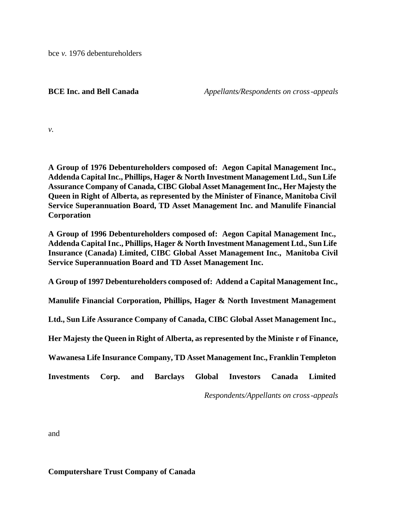bce *v.* 1976 debentureholders

**BCE Inc. and Bell Canada** *Appellants/Respondents on cross-appeals*

*v.*

**A Group of 1976 Debentureholders composed of: Aegon Capital Management Inc., Addenda Capital Inc., Phillips, Hager & North Investment Management Ltd., Sun Life Assurance Company of Canada, CIBC Global Asset Management Inc., Her Majesty the Queen in Right of Alberta, as represented by the Minister of Finance, Manitoba Civil Service Superannuation Board, TD Asset Management Inc. and Manulife Financial Corporation**

**A Group of 1996 Debentureholders composed of: Aegon Capital Management Inc., Addenda Capital Inc., Phillips, Hager & North Investment Management Ltd., Sun Life Insurance (Canada) Limited, CIBC Global Asset Management Inc., Manitoba Civil Service Superannuation Board and TD Asset Management Inc.**

**A Group of 1997 Debentureholders composed of: Addend a Capital Management Inc.,**

**Manulife Financial Corporation, Phillips, Hager & North Investment Management**

**Ltd., Sun Life Assurance Company of Canada, CIBC Global Asset Management Inc.,**

**Her Majesty the Queen in Right of Alberta, as represented by the Ministe r of Finance,**

**Wawanesa Life Insurance Company, TD Asset Management Inc., Franklin Templeton**

**Investments Corp. and Barclays Global Investors Canada Limited**

*Respondents/Appellants on cross-appeals*

and

**Computershare Trust Company of Canada**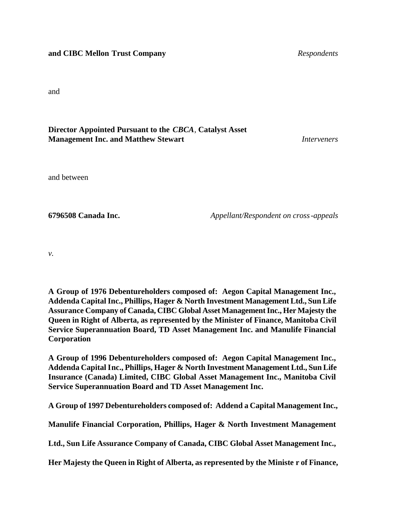## **and CIBC Mellon Trust Company** *Respondents*

and

## **Director Appointed Pursuant to the** *CBCA*, **Catalyst Asset Management Inc. and Matthew Stewart** *Interveners*

and between

**6796508 Canada Inc.** *Appellant/Respondent on cross-appeals*

*v.*

**A Group of 1976 Debentureholders composed of: Aegon Capital Management Inc., Addenda Capital Inc., Phillips, Hager & North Investment Management Ltd., Sun Life Assurance Company of Canada, CIBC Global Asset Management Inc., Her Majesty the Queen in Right of Alberta, as represented by the Minister of Finance, Manitoba Civil Service Superannuation Board, TD Asset Management Inc. and Manulife Financial Corporation**

**A Group of 1996 Debentureholders composed of: Aegon Capital Management Inc., Addenda Capital Inc., Phillips, Hager & North Investment Management Ltd., Sun Life Insurance (Canada) Limited, CIBC Global Asset Management Inc., Manitoba Civil Service Superannuation Board and TD Asset Management Inc.**

**A Group of 1997 Debentureholders composed of: Addend a Capital Management Inc.,**

**Manulife Financial Corporation, Phillips, Hager & North Investment Management**

**Ltd., Sun Life Assurance Company of Canada, CIBC Global Asset Management Inc.,**

**Her Majesty the Queen in Right of Alberta, as represented by the Ministe r of Finance,**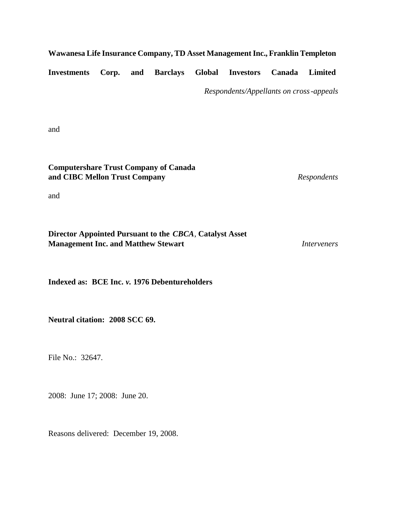## **Wawanesa Life Insurance Company, TD Asset Management Inc., Franklin Templeton**

**Investments Corp. and Barclays Global Investors Canada Limited**

*Respondents/Appellants on cross-appeals*

and

**Computershare Trust Company of Canada and CIBC Mellon Trust Company** *Respondents*

and

| Director Appointed Pursuant to the CBCA, Catalyst Asset |             |
|---------------------------------------------------------|-------------|
| <b>Management Inc. and Matthew Stewart</b>              | Interveners |

**Indexed as: BCE Inc.** *v.* **1976 Debentureholders**

**Neutral citation: 2008 SCC 69.**

File No.: 32647.

2008: June 17; 2008: June 20.

Reasons delivered: December 19, 2008.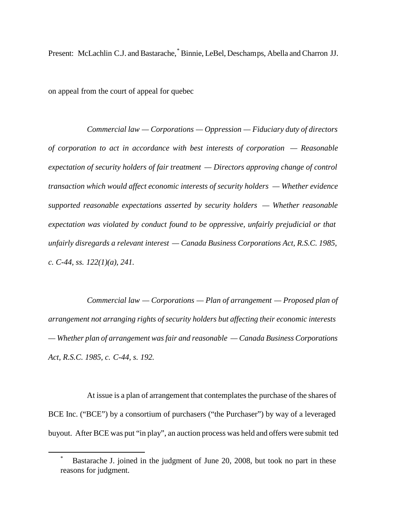Present: McLachlin C.J. and Bastarache,\* Binnie, LeBel, Deschamps, Abella and Charron JJ.

on appeal from the court of appeal for quebec

*Commercial law — Corporations — Oppression — Fiduciary duty of directors of corporation to act in accordance with best interests of corporation — Reasonable expectation of security holders of fair treatment — Directors approving change of control transaction which would affect economic interests of security holders — Whether evidence supported reasonable expectations asserted by security holders — Whether reasonable expectation was violated by conduct found to be oppressive, unfairly prejudicial or that unfairly disregards a relevant interest — Canada Business Corporations Act, R.S.C. 1985, c. C-44, ss. 122(1)(a), 241.*

*Commercial law — Corporations — Plan of arrangement — Proposed plan of arrangement not arranging rights of security holders but affecting their economic interests — Whether plan of arrangement was fair and reasonable — Canada Business Corporations Act, R.S.C. 1985, c. C-44, s. 192.*

At issue is a plan of arrangement that contemplates the purchase of the shares of BCE Inc. ("BCE") by a consortium of purchasers ("the Purchaser") by way of a leveraged buyout. After BCE was put "in play", an auction process was held and offers were submit ted

Bastarache J. joined in the judgment of June 20, 2008, but took no part in these reasons for judgment.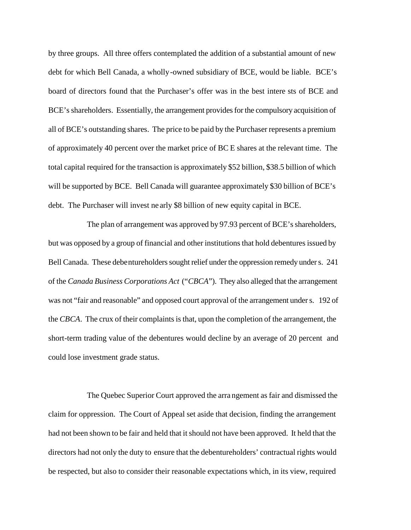by three groups. All three offers contemplated the addition of a substantial amount of new debt for which Bell Canada, a wholly-owned subsidiary of BCE, would be liable. BCE's board of directors found that the Purchaser's offer was in the best intere sts of BCE and BCE's shareholders. Essentially, the arrangement provides for the compulsory acquisition of all of BCE's outstanding shares. The price to be paid by the Purchaser represents a premium of approximately 40 percent over the market price of BC E shares at the relevant time. The total capital required for the transaction is approximately \$52 billion, \$38.5 billion of which will be supported by BCE. Bell Canada will guarantee approximately \$30 billion of BCE's debt. The Purchaser will invest ne arly \$8 billion of new equity capital in BCE.

The plan of arrangement was approved by 97.93 percent of BCE's shareholders, but was opposed by a group of financial and other institutions that hold debentures issued by Bell Canada. These debentureholders sought relief under the oppression remedy under s. 241 of the *Canada Business Corporations Act* ("*CBCA*"). They also alleged that the arrangement was not "fair and reasonable" and opposed court approval of the arrangement under s. 192 of the *CBCA*. The crux of their complaints is that, upon the completion of the arrangement, the short-term trading value of the debentures would decline by an average of 20 percent and could lose investment grade status.

The Quebec Superior Court approved the arra ngement as fair and dismissed the claim for oppression. The Court of Appeal set aside that decision, finding the arrangement had not been shown to be fair and held that it should not have been approved. It held that the directors had not only the duty to ensure that the debentureholders' contractual rights would be respected, but also to consider their reasonable expectations which, in its view, required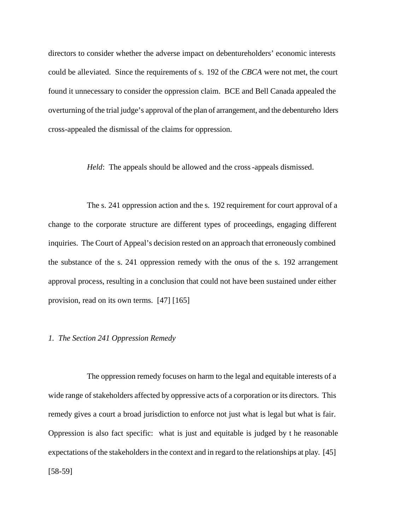directors to consider whether the adverse impact on debentureholders' economic interests could be alleviated. Since the requirements of s. 192 of the *CBCA* were not met, the court found it unnecessary to consider the oppression claim. BCE and Bell Canada appealed the overturning of the trial judge's approval of the plan of arrangement, and the debentureho lders cross-appealed the dismissal of the claims for oppression.

*Held*: The appeals should be allowed and the cross-appeals dismissed.

The s. 241 oppression action and the s. 192 requirement for court approval of a change to the corporate structure are different types of proceedings, engaging different inquiries. The Court of Appeal's decision rested on an approach that erroneously combined the substance of the s. 241 oppression remedy with the onus of the s. 192 arrangement approval process, resulting in a conclusion that could not have been sustained under either provision, read on its own terms. [47] [165]

#### *1. The Section 241 Oppression Remedy*

The oppression remedy focuses on harm to the legal and equitable interests of a wide range of stakeholders affected by oppressive acts of a corporation or its directors. This remedy gives a court a broad jurisdiction to enforce not just what is legal but what is fair. Oppression is also fact specific: what is just and equitable is judged by t he reasonable expectations of the stakeholders in the context and in regard to the relationships at play. [45] [58-59]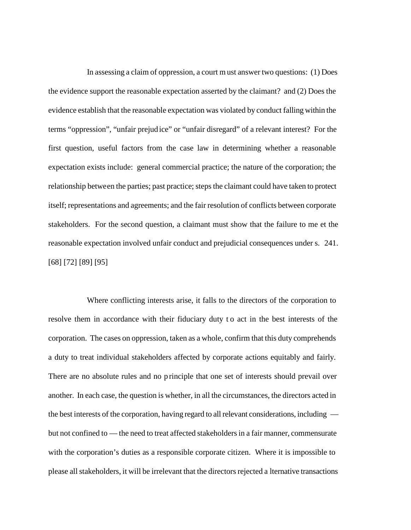In assessing a claim of oppression, a court must answer two questions: (1) Does the evidence support the reasonable expectation asserted by the claimant? and (2) Does the evidence establish that the reasonable expectation was violated by conduct falling within the terms "oppression", "unfair prejud ice" or "unfair disregard" of a relevant interest? For the first question, useful factors from the case law in determining whether a reasonable expectation exists include: general commercial practice; the nature of the corporation; the relationship between the parties; past practice; steps the claimant could have taken to protect itself; representations and agreements; and the fair resolution of conflicts between corporate stakeholders. For the second question, a claimant must show that the failure to me et the reasonable expectation involved unfair conduct and prejudicial consequences under s. 241. [68] [72] [89] [95]

Where conflicting interests arise, it falls to the directors of the corporation to resolve them in accordance with their fiduciary duty t o act in the best interests of the corporation. The cases on oppression, taken as a whole, confirm that this duty comprehends a duty to treat individual stakeholders affected by corporate actions equitably and fairly. There are no absolute rules and no principle that one set of interests should prevail over another. In each case, the question is whether, in all the circumstances, the directors acted in the best interests of the corporation, having regard to all relevant considerations, including but not confined to — the need to treat affected stakeholders in a fair manner, commensurate with the corporation's duties as a responsible corporate citizen. Where it is impossible to please all stakeholders, it will be irrelevant that the directors rejected a lternative transactions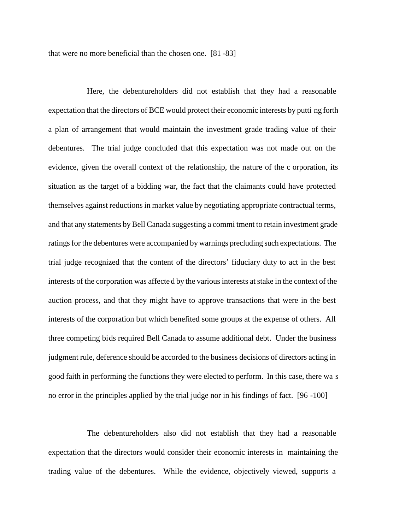that were no more beneficial than the chosen one. [81 -83]

Here, the debentureholders did not establish that they had a reasonable expectation that the directors of BCE would protect their economic interests by putti ng forth a plan of arrangement that would maintain the investment grade trading value of their debentures. The trial judge concluded that this expectation was not made out on the evidence, given the overall context of the relationship, the nature of the c orporation, its situation as the target of a bidding war, the fact that the claimants could have protected themselves against reductions in market value by negotiating appropriate contractual terms, and that any statements by Bell Canada suggesting a commi tment to retain investment grade ratings for the debentures were accompanied by warnings precluding such expectations. The trial judge recognized that the content of the directors' fiduciary duty to act in the best interests of the corporation was affecte d by the various interests at stake in the context of the auction process, and that they might have to approve transactions that were in the best interests of the corporation but which benefited some groups at the expense of others. All three competing bids required Bell Canada to assume additional debt. Under the business judgment rule, deference should be accorded to the business decisions of directors acting in good faith in performing the functions they were elected to perform. In this case, there wa s no error in the principles applied by the trial judge nor in his findings of fact. [96 -100]

The debentureholders also did not establish that they had a reasonable expectation that the directors would consider their economic interests in maintaining the trading value of the debentures. While the evidence, objectively viewed, supports a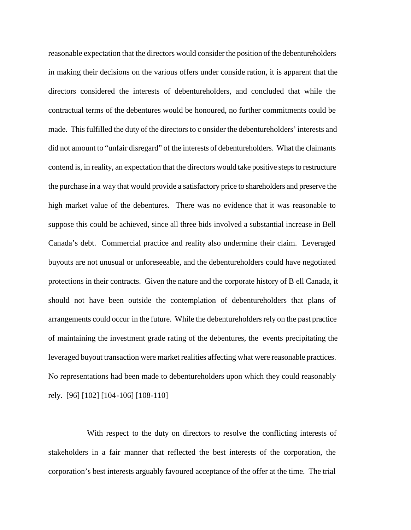reasonable expectation that the directors would consider the position of the debentureholders in making their decisions on the various offers under conside ration, it is apparent that the directors considered the interests of debentureholders, and concluded that while the contractual terms of the debentures would be honoured, no further commitments could be made. This fulfilled the duty of the directors to c onsider the debentureholders' interests and did not amount to "unfair disregard" of the interests of debentureholders. What the claimants contend is, in reality, an expectation that the directors would take positive steps to restructure the purchase in a way that would provide a satisfactory price to shareholders and preserve the high market value of the debentures. There was no evidence that it was reasonable to suppose this could be achieved, since all three bids involved a substantial increase in Bell Canada's debt. Commercial practice and reality also undermine their claim. Leveraged buyouts are not unusual or unforeseeable, and the debentureholders could have negotiated protections in their contracts. Given the nature and the corporate history of B ell Canada, it should not have been outside the contemplation of debentureholders that plans of arrangements could occur in the future. While the debentureholders rely on the past practice of maintaining the investment grade rating of the debentures, the events precipitating the leveraged buyout transaction were market realities affecting what were reasonable practices. No representations had been made to debentureholders upon which they could reasonably rely. [96] [102] [104-106] [108-110]

With respect to the duty on directors to resolve the conflicting interests of stakeholders in a fair manner that reflected the best interests of the corporation, the corporation's best interests arguably favoured acceptance of the offer at the time. The trial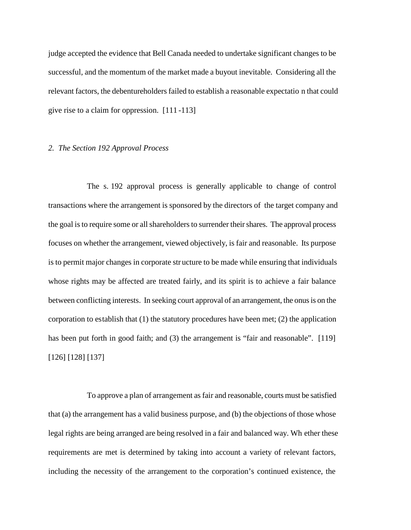judge accepted the evidence that Bell Canada needed to undertake significant changes to be successful, and the momentum of the market made a buyout inevitable. Considering all the relevant factors, the debentureholders failed to establish a reasonable expectatio n that could give rise to a claim for oppression. [111 -113]

#### *2. The Section 192 Approval Process*

The s. 192 approval process is generally applicable to change of control transactions where the arrangement is sponsored by the directors of the target company and the goal is to require some or all shareholders to surrender their shares. The approval process focuses on whether the arrangement, viewed objectively, is fair and reasonable. Its purpose is to permit major changes in corporate str ucture to be made while ensuring that individuals whose rights may be affected are treated fairly, and its spirit is to achieve a fair balance between conflicting interests. In seeking court approval of an arrangement, the onus is on the corporation to establish that (1) the statutory procedures have been met; (2) the application has been put forth in good faith; and (3) the arrangement is "fair and reasonable". [119] [126] [128] [137]

To approve a plan of arrangement as fair and reasonable, courts must be satisfied that (a) the arrangement has a valid business purpose, and (b) the objections of those whose legal rights are being arranged are being resolved in a fair and balanced way. Wh ether these requirements are met is determined by taking into account a variety of relevant factors, including the necessity of the arrangement to the corporation's continued existence, the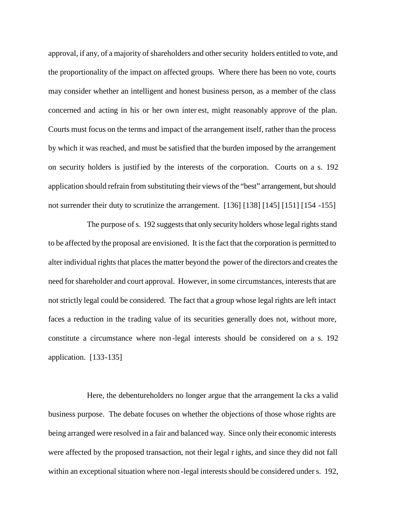approval, if any, of a majority of shareholders and other security holders entitled to vote, and the proportionality of the impact on affected groups. Where there has been no vote, courts may consider whether an intelligent and honest business person, as a member of the class concerned and acting in his or her own inter est, might reasonably approve of the plan. Courts must focus on the terms and impact of the arrangement itself, rather than the process by which it was reached, and must be satisfied that the burden imposed by the arrangement on security holders is justified by the interests of the corporation. Courts on a s. 192 application should refrain from substituting their views of the "best" arrangement, but should not surrender their duty to scrutinize the arrangement. [136] [138] [145] [151] [154 -155]

The purpose of s. 192 suggests that only security holders whose legal rights stand to be affected by the proposal are envisioned. It is the fact that the corporation is permitted to alter individual rights that places the matter beyond the power of the directors and creates the need for shareholder and court approval. However, in some circumstances, interests that are not strictly legal could be considered. The fact that a group whose legal rights are left intact faces a reduction in the trading value of its securities generally does not, without more, constitute a circumstance where non -legal interests should be considered on a s. 192 application. [133-135]

Here, the debentureholders no longer argue that the arrangement la cks a valid business purpose. The debate focuses on whether the objections of those whose rights are being arranged were resolved in a fair and balanced way. Since only their economic interests were affected by the proposed transaction, not their legal r ights, and since they did not fall within an exceptional situation where non -legal interests should be considered under s. 192,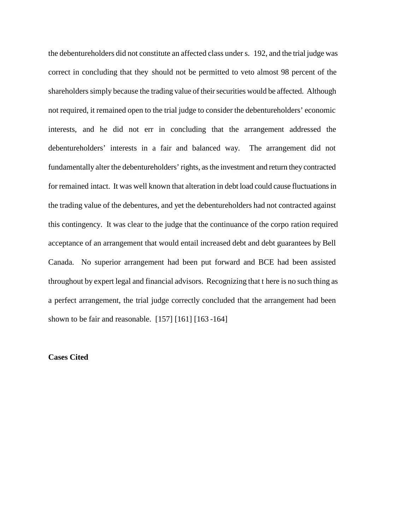the debentureholders did not constitute an affected class under s. 192, and the trial judge was correct in concluding that they should not be permitted to veto almost 98 percent of the shareholders simply because the trading value of their securities would be affected. Although not required, it remained open to the trial judge to consider the debentureholders' economic interests, and he did not err in concluding that the arrangement addressed the debentureholders' interests in a fair and balanced way. The arrangement did not fundamentally alter the debentureholders' rights, as the investment and return they contracted for remained intact. It was well known that alteration in debt load could cause fluctuations in the trading value of the debentures, and yet the debentureholders had not contracted against this contingency. It was clear to the judge that the continuance of the corpo ration required acceptance of an arrangement that would entail increased debt and debt guarantees by Bell Canada. No superior arrangement had been put forward and BCE had been assisted throughout by expert legal and financial advisors. Recognizing that t here is no such thing as a perfect arrangement, the trial judge correctly concluded that the arrangement had been shown to be fair and reasonable. [157] [161] [163 -164]

## **Cases Cited**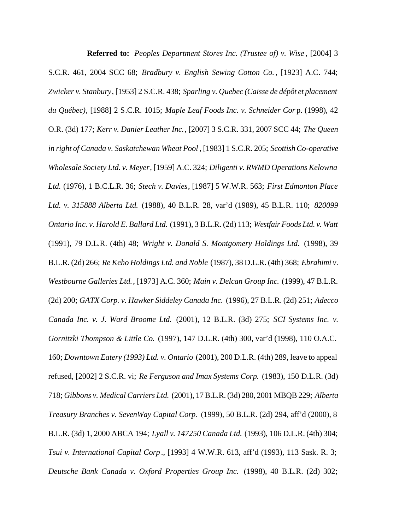**Referred to:** *Peoples Department Stores Inc. (Trustee of) v. Wise* , [2004] 3 S.C.R. 461, 2004 SCC 68; *Bradbury v. English Sewing Cotton Co.* , [1923] A.C. 744; *Zwicker v. Stanbury*, [1953] 2 S.C.R. 438; *Sparling v. Quebec (Caisse de dépôt et placement du Québec)*, [1988] 2 S.C.R. 1015; *Maple Leaf Foods Inc. v. Schneider Cor* p. (1998), 42 O.R. (3d) 177; *Kerr v. Danier Leather Inc.*, [2007] 3 S.C.R. 331, 2007 SCC 44; *The Queen in right of Canada v. Saskatchewan Wheat Pool* , [1983] 1 S.C.R. 205; *Scottish Co-operative Wholesale Society Ltd. v. Meyer*, [1959] A.C. 324; *Diligenti v. RWMD Operations Kelowna Ltd.* (1976), 1 B.C.L.R. 36; *Stech v. Davies*, [1987] 5 W.W.R. 563; *First Edmonton Place Ltd. v. 315888 Alberta Ltd.* (1988), 40 B.L.R. 28, var'd (1989), 45 B.L.R. 110; *820099 Ontario Inc. v. Harold E. Ballard Ltd.* (1991), 3 B.L.R. (2d) 113; *Westfair Foods Ltd. v. Watt* (1991), 79 D.L.R. (4th) 48; *Wright v. Donald S. Montgomery Holdings Ltd.* (1998), 39 B.L.R. (2d) 266; *Re Keho Holdings Ltd. and Noble* (1987), 38 D.L.R. (4th) 368; *Ebrahimi v. Westbourne Galleries Ltd.*, [1973] A.C. 360; *Main v. Delcan Group Inc.* (1999), 47 B.L.R. (2d) 200; *GATX Corp. v. Hawker Siddeley Canada Inc.* (1996), 27 B.L.R. (2d) 251; *Adecco Canada Inc. v. J. Ward Broome Ltd.* (2001), 12 B.L.R. (3d) 275; *SCI Systems Inc. v. Gornitzki Thompson & Little Co.* (1997), 147 D.L.R. (4th) 300, var'd (1998), 110 O.A.C. 160; *Downtown Eatery (1993) Ltd. v. Ontario* (2001), 200 D.L.R. (4th) 289, leave to appeal refused, [2002] 2 S.C.R. vi; *Re Ferguson and Imax Systems Corp.* (1983), 150 D.L.R. (3d) 718; *Gibbons v. Medical Carriers Ltd.* (2001), 17 B.L.R. (3d) 280, 2001 MBQB 229; *Alberta Treasury Branches v. SevenWay Capital Corp.* (1999), 50 B.L.R. (2d) 294, aff'd (2000), 8 B.L.R. (3d) 1, 2000 ABCA 194; *Lyall v. 147250 Canada Ltd.* (1993), 106 D.L.R. (4th) 304; *Tsui v. International Capital Corp* ., [1993] 4 W.W.R. 613, aff'd (1993), 113 Sask. R. 3; *Deutsche Bank Canada v. Oxford Properties Group Inc.* (1998), 40 B.L.R. (2d) 302;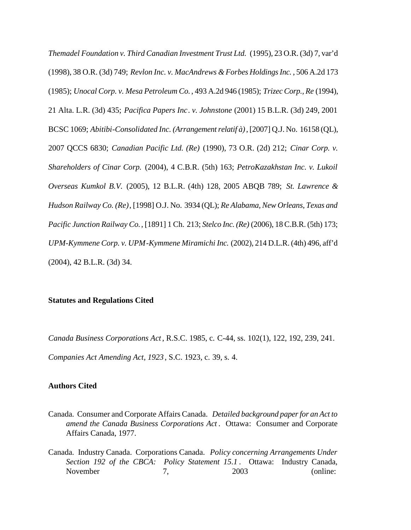*Themadel Foundation v. Third Canadian Investment Trust Ltd.* (1995), 23 O.R. (3d) 7, var'd (1998), 38 O.R. (3d) 749; *Revlon Inc. v. MacAndrews & Forbes Holdings Inc.* , 506 A.2d 173 (1985); *Unocal Corp. v. Mesa Petroleum Co.* , 493 A.2d 946 (1985); *Trizec Corp., Re* (1994), 21 Alta. L.R. (3d) 435; *Pacifica Papers Inc*. *v. Johnstone* (2001) 15 B.L.R. (3d) 249, 2001 BCSC 1069; *Abitibi-Consolidated Inc. (Arrangement relatif à)*, [2007] Q.J. No. 16158 (QL), 2007 QCCS 6830; *Canadian Pacific Ltd. (Re)* (1990), 73 O.R. (2d) 212; *Cinar Corp. v. Shareholders of Cinar Corp.* (2004), 4 C.B.R. (5th) 163; *PetroKazakhstan Inc. v. Lukoil Overseas Kumkol B.V.* (2005), 12 B.L.R. (4th) 128, 2005 ABQB 789; *St. Lawrence & Hudson Railway Co. (Re)*, [1998] O.J. No. 3934 (QL); *Re Alabama, New Orleans, Texas and Pacific Junction Railway Co.*, [1891] 1 Ch. 213; *Stelco Inc. (Re)* (2006), 18 C.B.R. (5th) 173; *UPM-Kymmene Corp. v. UPM-Kymmene Miramichi Inc.* (2002), 214 D.L.R. (4th) 496, aff'd (2004), 42 B.L.R. (3d) 34.

#### **Statutes and Regulations Cited**

*Canada Business Corporations Act*, R.S.C. 1985, c. C-44, ss. 102(1), 122, 192, 239, 241. *Companies Act Amending Act, 1923* , S.C. 1923, c. 39, s. 4.

## **Authors Cited**

- Canada. Consumer and Corporate Affairs Canada. *Detailed background paper for an Act to amend the Canada Business Corporations Act* . Ottawa: Consumer and Corporate Affairs Canada, 1977.
- Canada. Industry Canada. Corporations Canada. *Policy concerning Arrangements Under Section 192 of the CBCA: Policy Statement 15.1* . Ottawa: Industry Canada, November 7, 2003 (online: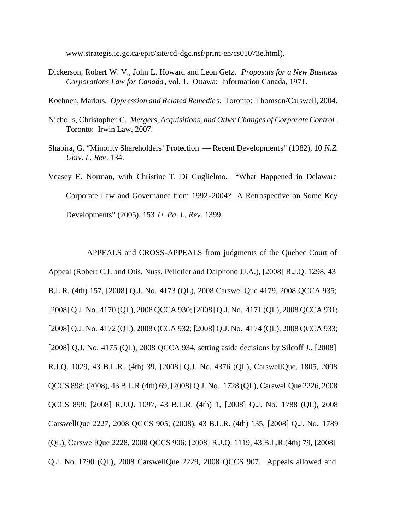www.strategis.ic.[gc.ca/epic/site/cd-dgc.nsf/print-en/cs01073e](www.strategis.ic.gc.ca/epic/site/cd-dgc.nsf/).html).

Dickerson, Robert W. V., John L. Howard and Leon Getz. *Proposals for a New Business Corporations Law for Canada*, vol. 1. Ottawa: Information Canada, 1971.

Koehnen, Markus. *Oppression and Related Remedie* s. Toronto: Thomson/Carswell, 2004.

- Nicholls, Christopher C. *Mergers, Acquisitions, and Other Changes of Corporate Control* . Toronto: Irwin Law, 2007.
- Shapira, G. "Minority Shareholders' Protection Recent Developments" (1982), 10 *N.Z. Univ. L. Rev*. 134.
- Veasey E. Norman, with Christine T. Di Guglielmo. "What Happened in Delaware Corporate Law and Governance from 1992 -2004? A Retrospective on Some Key Developments" (2005), 153 *U. Pa. L. Rev.* 1399.

APPEALS and CROSS-APPEALS from judgments of the Quebec Court of Appeal (Robert C.J. and Otis, Nuss, Pelletier and Dalphond JJ.A.), [2008] R.J.Q. 1298, 43 B.L.R. (4th) 157, [2008] Q.J. No. 4173 (QL), 2008 CarswellQue 4179, 2008 QCCA 935; [2008] Q.J. No. 4170 (QL), 2008 QCCA 930; [2008] Q.J. No. 4171 (QL), 2008 QCCA 931; [2008] Q.J. No. 4172 (QL), 2008 QCCA 932; [2008] Q.J. No. 4174 (QL), 2008 QCCA 933; [2008] Q.J. No. 4175 (QL), 2008 QCCA 934, setting aside decisions by Silcoff J., [2008] R.J.Q. 1029, 43 B.L.R. (4th) 39, [2008] Q.J. No. 4376 (QL), CarswellQue. 1805, 2008 QCCS 898; (2008), 43 B.L.R.(4th) 69, [2008] Q.J. No. 1728 (QL), CarswellQue 2226, 2008 QCCS 899; [2008] R.J.Q. 1097, 43 B.L.R. (4th) 1, [2008] Q.J. No. 1788 (QL), 2008 CarswellQue 2227, 2008 QCCS 905; (2008), 43 B.L.R. (4th) 135, [2008] Q.J. No. 1789 (QL), CarswellQue 2228, 2008 QCCS 906; [2008] R.J.Q. 1119, 43 B.L.R.(4th) 79, [2008] Q.J. No. 1790 (QL), 2008 CarswellQue 2229, 2008 QCCS 907. Appeals allowed and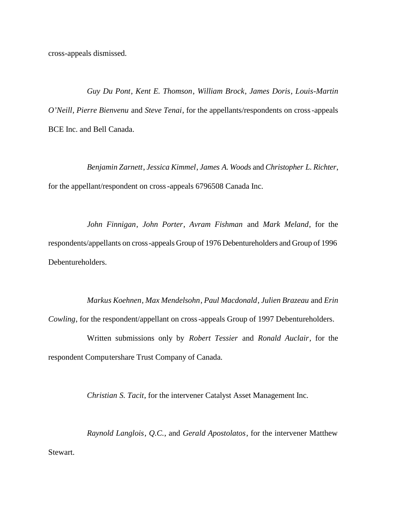cross-appeals dismissed.

*Guy Du Pont*, *Kent E. Thomson*, *William Brock*, *James Doris*, *Louis-Martin O'Neill*, *Pierre Bienvenu* and *Steve Tenai*, for the appellants/respondents on cross-appeals BCE Inc. and Bell Canada.

*Benjamin Zarnett*, *Jessica Kimmel*, *James A. Woods* and *Christopher L. Richter*, for the appellant/respondent on cross-appeals 6796508 Canada Inc.

*John Finnigan*, *John Porter*, *Avram Fishman* and *Mark Meland*, for the respondents/appellants on cross-appeals Group of 1976 Debentureholders and Group of 1996 Debentureholders.

*Markus Koehnen*, *Max Mendelsohn*, *Paul Macdonald*, *Julien Brazeau* and *Erin Cowling*, for the respondent/appellant on cross-appeals Group of 1997 Debentureholders.

Written submissions only by *Robert Tessier* and *Ronald Auclair*, for the respondent Computershare Trust Company of Canada.

*Christian S. Tacit*, for the intervener Catalyst Asset Management Inc.

*Raynold Langlois*, *Q.C.*, and *Gerald Apostolatos*, for the intervener Matthew Stewart.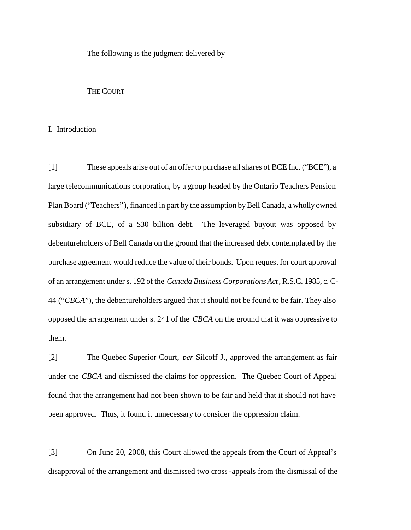The following is the judgment delivered by

THE COURT-

#### I. Introduction

[1] These appeals arise out of an offer to purchase all shares of BCE Inc. ("BCE"), a large telecommunications corporation, by a group headed by the Ontario Teachers Pension Plan Board ("Teachers"), financed in part by the assumption by Bell Canada, a wholly owned subsidiary of BCE, of a \$30 billion debt. The leveraged buyout was opposed by debentureholders of Bell Canada on the ground that the increased debt contemplated by the purchase agreement would reduce the value of their bonds. Upon request for court approval of an arrangement under s. 192 of the *Canada Business Corporations Act*, R.S.C. 1985, c. C-44 ("*CBCA*"), the debentureholders argued that it should not be found to be fair. They also opposed the arrangement under s. 241 of the *CBCA* on the ground that it was oppressive to them.

[2] The Quebec Superior Court, *per* Silcoff J., approved the arrangement as fair under the *CBCA* and dismissed the claims for oppression. The Quebec Court of Appeal found that the arrangement had not been shown to be fair and held that it should not have been approved. Thus, it found it unnecessary to consider the oppression claim.

[3] On June 20, 2008, this Court allowed the appeals from the Court of Appeal's disapproval of the arrangement and dismissed two cross -appeals from the dismissal of the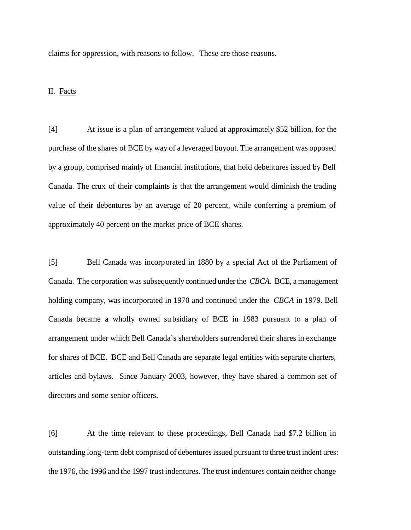claims for oppression, with reasons to follow. These are those reasons.

## II. Facts

[4] At issue is a plan of arrangement valued at approximately \$52 billion, for the purchase of the shares of BCE by way of a leveraged buyout. The arrangement was opposed by a group, comprised mainly of financial institutions, that hold debentures issued by Bell Canada. The crux of their complaints is that the arrangement would diminish the trading value of their debentures by an average of 20 percent, while conferring a premium of approximately 40 percent on the market price of BCE shares.

[5] Bell Canada was incorporated in 1880 by a special Act of the Parliament of Canada. The corporation was subsequently continued under the *CBCA*. BCE, a management holding company, was incorporated in 1970 and continued under the *CBCA* in 1979. Bell Canada became a wholly owned su bsidiary of BCE in 1983 pursuant to a plan of arrangement under which Bell Canada's shareholders surrendered their shares in exchange for shares of BCE. BCE and Bell Canada are separate legal entities with separate charters, articles and bylaws. Since January 2003, however, they have shared a common set of directors and some senior officers.

[6] At the time relevant to these proceedings, Bell Canada had \$7.2 billion in outstanding long-term debt comprised of debentures issued pursuant to three trust indent ures: the 1976, the 1996 and the 1997 trust indentures. The trust indentures contain neither change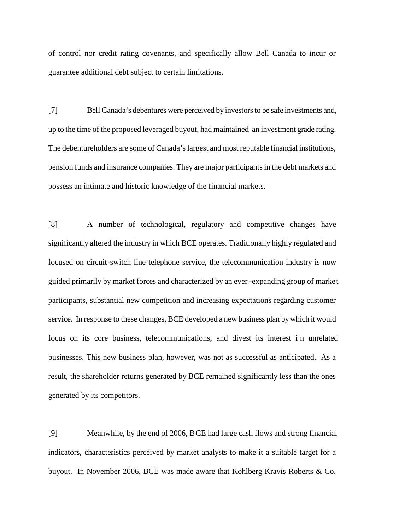of control nor credit rating covenants, and specifically allow Bell Canada to incur or guarantee additional debt subject to certain limitations.

[7] Bell Canada's debentures were perceived by investors to be safe investments and, up to the time of the proposed leveraged buyout, had maintained an investment grade rating. The debentureholders are some of Canada's largest and most reputable financial institutions, pension funds and insurance companies. They are major participants in the debt markets and possess an intimate and historic knowledge of the financial markets.

[8] A number of technological, regulatory and competitive changes have significantly altered the industry in which BCE operates. Traditionally highly regulated and focused on circuit-switch line telephone service, the telecommunication industry is now guided primarily by market forces and characterized by an ever -expanding group of market participants, substantial new competition and increasing expectations regarding customer service. In response to these changes, BCE developed a new business plan by which it would focus on its core business, telecommunications, and divest its interest i n unrelated businesses. This new business plan, however, was not as successful as anticipated. As a result, the shareholder returns generated by BCE remained significantly less than the ones generated by its competitors.

[9] Meanwhile, by the end of 2006, BCE had large cash flows and strong financial indicators, characteristics perceived by market analysts to make it a suitable target for a buyout. In November 2006, BCE was made aware that Kohlberg Kravis Roberts & Co.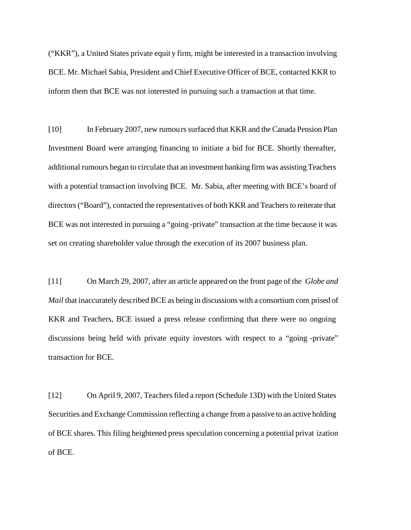("KKR"), a United States private equit y firm, might be interested in a transaction involving BCE. Mr. Michael Sabia, President and Chief Executive Officer of BCE, contacted KKR to inform them that BCE was not interested in pursuing such a transaction at that time.

[10] In February 2007, new rumours surfaced that KKR and the Canada Pension Plan Investment Board were arranging financing to initiate a bid for BCE. Shortly thereafter, additional rumours began to circulate that an investment banking firm was assisting Teachers with a potential transaction involving BCE. Mr. Sabia, after meeting with BCE's board of directors ("Board"), contacted the representatives of both KKR and Teachers to reiterate that BCE was not interested in pursuing a "going -private" transaction at the time because it was set on creating shareholder value through the execution of its 2007 business plan.

[11] On March 29, 2007, after an article appeared on the front page of the *Globe and Mail* that inaccurately described BCE as being in discussions with a consortium com prised of KKR and Teachers, BCE issued a press release confirming that there were no ongoing discussions being held with private equity investors with respect to a "going -private" transaction for BCE.

[12] On April 9, 2007, Teachers filed a report (Schedule 13D) with the United States Securities and Exchange Commission reflecting a change from a passive to an active holding of BCE shares. This filing heightened press speculation concerning a potential privat ization of BCE.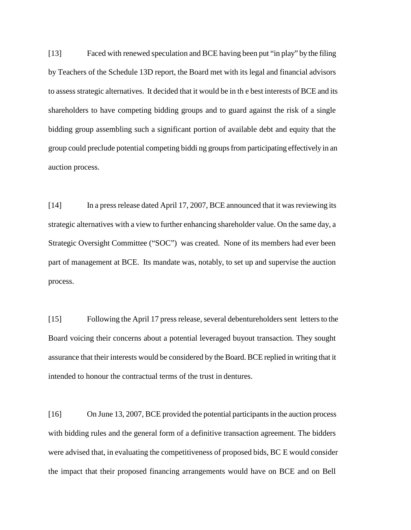[13] Faced with renewed speculation and BCE having been put "in play" by the filing by Teachers of the Schedule 13D report, the Board met with its legal and financial advisors to assess strategic alternatives. It decided that it would be in th e best interests of BCE and its shareholders to have competing bidding groups and to guard against the risk of a single bidding group assembling such a significant portion of available debt and equity that the group could preclude potential competing biddi ng groups from participating effectively in an auction process.

[14] In a press release dated April 17, 2007, BCE announced that it was reviewing its strategic alternatives with a view to further enhancing shareholder value. On the same day, a Strategic Oversight Committee ("SOC") was created. None of its members had ever been part of management at BCE. Its mandate was, notably, to set up and supervise the auction process.

[15] Following the April 17 press release, several debentureholders sent letters to the Board voicing their concerns about a potential leveraged buyout transaction. They sought assurance that their interests would be considered by the Board. BCE replied in writing that it intended to honour the contractual terms of the trust in dentures.

[16] On June 13, 2007, BCE provided the potential participants in the auction process with bidding rules and the general form of a definitive transaction agreement. The bidders were advised that, in evaluating the competitiveness of proposed bids, BC E would consider the impact that their proposed financing arrangements would have on BCE and on Bell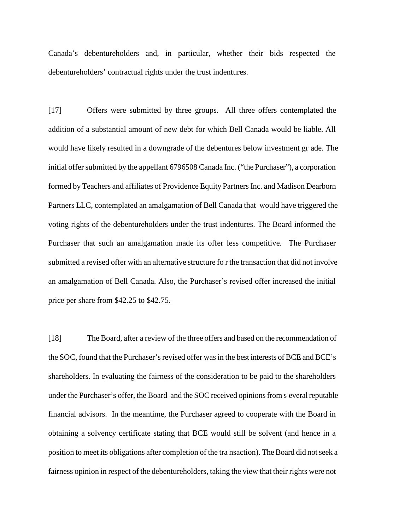Canada's debentureholders and, in particular, whether their bids respected the debentureholders' contractual rights under the trust indentures.

[17] Offers were submitted by three groups. All three offers contemplated the addition of a substantial amount of new debt for which Bell Canada would be liable. All would have likely resulted in a downgrade of the debentures below investment gr ade. The initial offer submitted by the appellant 6796508 Canada Inc. ("the Purchaser"), a corporation formed by Teachers and affiliates of Providence Equity Partners Inc. and Madison Dearborn Partners LLC, contemplated an amalgamation of Bell Canada that would have triggered the voting rights of the debentureholders under the trust indentures. The Board informed the Purchaser that such an amalgamation made its offer less competitive. The Purchaser submitted a revised offer with an alternative structure fo r the transaction that did not involve an amalgamation of Bell Canada. Also, the Purchaser's revised offer increased the initial price per share from \$42.25 to \$42.75.

[18] The Board, after a review of the three offers and based on the recommendation of the SOC, found that the Purchaser's revised offer was in the best interests of BCE and BCE's shareholders. In evaluating the fairness of the consideration to be paid to the shareholders under the Purchaser's offer, the Board and the SOC received opinions from s everal reputable financial advisors. In the meantime, the Purchaser agreed to cooperate with the Board in obtaining a solvency certificate stating that BCE would still be solvent (and hence in a position to meet its obligations after completion of the tra nsaction). The Board did not seek a fairness opinion in respect of the debentureholders, taking the view that their rights were not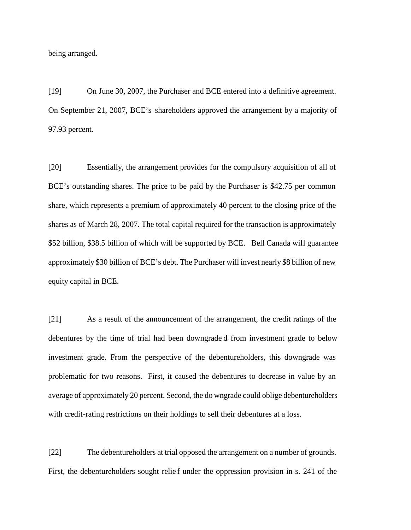being arranged.

[19] On June 30, 2007, the Purchaser and BCE entered into a definitive agreement. On September 21, 2007, BCE's shareholders approved the arrangement by a majority of 97.93 percent.

[20] Essentially, the arrangement provides for the compulsory acquisition of all of BCE's outstanding shares. The price to be paid by the Purchaser is \$42.75 per common share, which represents a premium of approximately 40 percent to the closing price of the shares as of March 28, 2007. The total capital required for the transaction is approximately \$52 billion, \$38.5 billion of which will be supported by BCE. Bell Canada will guarantee approximately \$30 billion of BCE's debt. The Purchaser will invest nearly \$8 billion of new equity capital in BCE.

[21] As a result of the announcement of the arrangement, the credit ratings of the debentures by the time of trial had been downgrade d from investment grade to below investment grade. From the perspective of the debentureholders, this downgrade was problematic for two reasons. First, it caused the debentures to decrease in value by an average of approximately 20 percent. Second, the do wngrade could oblige debentureholders with credit-rating restrictions on their holdings to sell their debentures at a loss.

[22] The debentureholders at trial opposed the arrangement on a number of grounds. First, the debentureholders sought relief under the oppression provision in s. 241 of the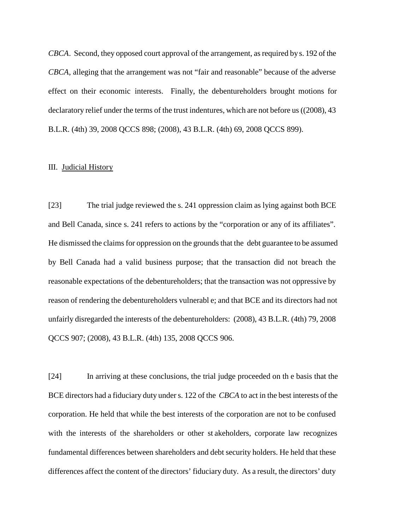*CBCA*. Second, they opposed court approval of the arrangement, as required by s. 192 of the *CBCA*, alleging that the arrangement was not "fair and reasonable" because of the adverse effect on their economic interests. Finally, the debentureholders brought motions for declaratory relief under the terms of the trust indentures, which are not before us ((2008), 43 B.L.R. (4th) 39, 2008 QCCS 898; (2008), 43 B.L.R. (4th) 69, 2008 QCCS 899).

#### III. Judicial History

[23] The trial judge reviewed the s. 241 oppression claim as lying against both BCE and Bell Canada, since s. 241 refers to actions by the "corporation or any of its affiliates". He dismissed the claims for oppression on the grounds that the debt guarantee to be assumed by Bell Canada had a valid business purpose; that the transaction did not breach the reasonable expectations of the debentureholders; that the transaction was not oppressive by reason of rendering the debentureholders vulnerabl e; and that BCE and its directors had not unfairly disregarded the interests of the debentureholders: (2008), 43 B.L.R. (4th) 79, 2008 QCCS 907; (2008), 43 B.L.R. (4th) 135, 2008 QCCS 906.

[24] In arriving at these conclusions, the trial judge proceeded on th e basis that the BCE directors had a fiduciary duty under s. 122 of the *CBCA* to act in the best interests of the corporation. He held that while the best interests of the corporation are not to be confused with the interests of the shareholders or other st akeholders, corporate law recognizes fundamental differences between shareholders and debt security holders. He held that these differences affect the content of the directors' fiduciary duty. As a result, the directors' duty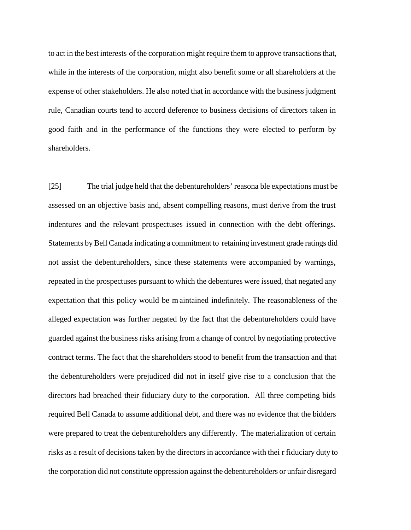to act in the best interests of the corporation might require them to approve transactions that, while in the interests of the corporation, might also benefit some or all shareholders at the expense of other stakeholders. He also noted that in accordance with the business judgment rule, Canadian courts tend to accord deference to business decisions of directors taken in good faith and in the performance of the functions they were elected to perform by shareholders.

[25] The trial judge held that the debentureholders' reasona ble expectations must be assessed on an objective basis and, absent compelling reasons, must derive from the trust indentures and the relevant prospectuses issued in connection with the debt offerings. Statements by Bell Canada indicating a commitment to retaining investment grade ratings did not assist the debentureholders, since these statements were accompanied by warnings, repeated in the prospectuses pursuant to which the debentures were issued, that negated any expectation that this policy would be m aintained indefinitely. The reasonableness of the alleged expectation was further negated by the fact that the debentureholders could have guarded against the business risks arising from a change of control by negotiating protective contract terms. The fact that the shareholders stood to benefit from the transaction and that the debentureholders were prejudiced did not in itself give rise to a conclusion that the directors had breached their fiduciary duty to the corporation. All three competing bids required Bell Canada to assume additional debt, and there was no evidence that the bidders were prepared to treat the debentureholders any differently. The materialization of certain risks as a result of decisions taken by the directors in accordance with thei r fiduciary duty to the corporation did not constitute oppression against the debentureholders or unfair disregard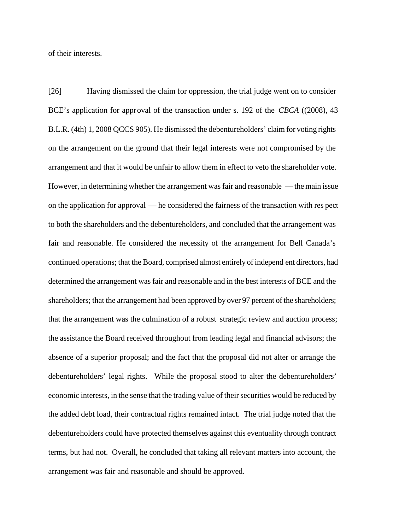of their interests.

[26] Having dismissed the claim for oppression, the trial judge went on to consider BCE's application for approval of the transaction under s. 192 of the *CBCA* ((2008), 43 B.L.R. (4th) 1, 2008 QCCS 905). He dismissed the debentureholders' claim for voting rights on the arrangement on the ground that their legal interests were not compromised by the arrangement and that it would be unfair to allow them in effect to veto the shareholder vote. However, in determining whether the arrangement was fair and reasonable — the main issue on the application for approval — he considered the fairness of the transaction with res pect to both the shareholders and the debentureholders, and concluded that the arrangement was fair and reasonable. He considered the necessity of the arrangement for Bell Canada's continued operations; that the Board, comprised almost entirely of independ ent directors, had determined the arrangement was fair and reasonable and in the best interests of BCE and the shareholders; that the arrangement had been approved by over 97 percent of the shareholders; that the arrangement was the culmination of a robust strategic review and auction process; the assistance the Board received throughout from leading legal and financial advisors; the absence of a superior proposal; and the fact that the proposal did not alter or arrange the debentureholders' legal rights. While the proposal stood to alter the debentureholders' economic interests, in the sense that the trading value of their securities would be reduced by the added debt load, their contractual rights remained intact. The trial judge noted that the debentureholders could have protected themselves against this eventuality through contract terms, but had not. Overall, he concluded that taking all relevant matters into account, the arrangement was fair and reasonable and should be approved.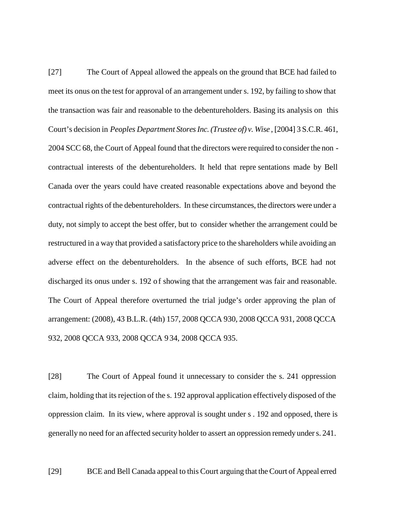[27] The Court of Appeal allowed the appeals on the ground that BCE had failed to meet its onus on the test for approval of an arrangement under s. 192, by failing to show that the transaction was fair and reasonable to the debentureholders. Basing its analysis on this Court's decision in *Peoples Department Stores Inc. (Trustee of) v. Wise* , [2004] 3 S.C.R. 461, 2004 SCC 68, the Court of Appeal found that the directors were required to consider the non contractual interests of the debentureholders. It held that repre sentations made by Bell Canada over the years could have created reasonable expectations above and beyond the contractual rights of the debentureholders. In these circumstances, the directors were under a duty, not simply to accept the best offer, but to consider whether the arrangement could be restructured in a way that provided a satisfactory price to the shareholders while avoiding an adverse effect on the debentureholders. In the absence of such efforts, BCE had not discharged its onus under s. 192 of showing that the arrangement was fair and reasonable. The Court of Appeal therefore overturned the trial judge's order approving the plan of arrangement: (2008), 43 B.L.R. (4th) 157, 2008 QCCA 930, 2008 QCCA 931, 2008 QCCA 932, 2008 QCCA 933, 2008 QCCA 9 34, 2008 QCCA 935.

[28] The Court of Appeal found it unnecessary to consider the s. 241 oppression claim, holding that its rejection of the s. 192 approval application effectively disposed of the oppression claim. In its view, where approval is sought under s . 192 and opposed, there is generally no need for an affected security holder to assert an oppression remedy under s. 241.

[29] BCE and Bell Canada appeal to this Court arguing that the Court of Appeal erred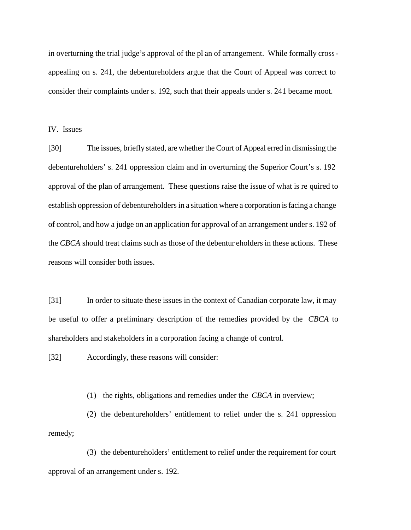in overturning the trial judge's approval of the pl an of arrangement. While formally crossappealing on s. 241, the debentureholders argue that the Court of Appeal was correct to consider their complaints under s. 192, such that their appeals under s. 241 became moot.

#### IV. Issues

[30] The issues, briefly stated, are whether the Court of Appeal erred in dismissing the debentureholders' s. 241 oppression claim and in overturning the Superior Court's s. 192 approval of the plan of arrangement. These questions raise the issue of what is re quired to establish oppression of debentureholders in a situation where a corporation is facing a change of control, and how a judge on an application for approval of an arrangement under s. 192 of the *CBCA* should treat claims such as those of the debentur eholders in these actions. These reasons will consider both issues.

[31] In order to situate these issues in the context of Canadian corporate law, it may be useful to offer a preliminary description of the remedies provided by the *CBCA* to shareholders and stakeholders in a corporation facing a change of control.

[32] Accordingly, these reasons will consider:

(1) the rights, obligations and remedies under the *CBCA* in overview;

(2) the debentureholders' entitlement to relief under the s. 241 oppression remedy;

(3) the debentureholders' entitlement to relief under the requirement for court approval of an arrangement under s. 192.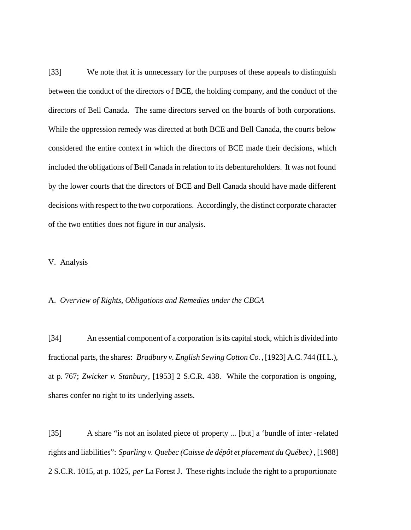[33] We note that it is unnecessary for the purposes of these appeals to distinguish between the conduct of the directors of BCE, the holding company, and the conduct of the directors of Bell Canada. The same directors served on the boards of both corporations. While the oppression remedy was directed at both BCE and Bell Canada, the courts below considered the entire context in which the directors of BCE made their decisions, which included the obligations of Bell Canada in relation to its debentureholders. It was not found by the lower courts that the directors of BCE and Bell Canada should have made different decisions with respect to the two corporations. Accordingly, the distinct corporate character of the two entities does not figure in our analysis.

## V. Analysis

#### A. *Overview of Rights, Obligations and Remedies under the CBCA*

[34] An essential component of a corporation is its capital stock, which is divided into fractional parts, the shares: *Bradbury v. English Sewing Cotton Co.* , [1923] A.C. 744 (H.L.), at p. 767; *Zwicker v. Stanbury*, [1953] 2 S.C.R. 438. While the corporation is ongoing, shares confer no right to its underlying assets.

[35] A share "is not an isolated piece of property ... [but] a 'bundle of inter -related rights and liabilities": *Sparling v. Quebec (Caisse de dépôt et placement du Québec)* , [1988] 2 S.C.R. 1015, at p. 1025, *per* La Forest J. These rights include the right to a proportionate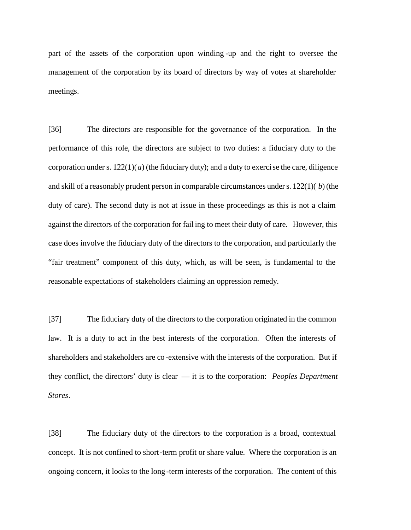part of the assets of the corporation upon winding -up and the right to oversee the management of the corporation by its board of directors by way of votes at shareholder meetings.

[36] The directors are responsible for the governance of the corporation. In the performance of this role, the directors are subject to two duties: a fiduciary duty to the corporation under s.  $122(1)(a)$  (the fiduciary duty); and a duty to exercise the care, diligence and skill of a reasonably prudent person in comparable circumstances under s. 122(1)( *b*) (the duty of care). The second duty is not at issue in these proceedings as this is not a claim against the directors of the corporation for fail ing to meet their duty of care. However, this case does involve the fiduciary duty of the directors to the corporation, and particularly the "fair treatment" component of this duty, which, as will be seen, is fundamental to the reasonable expectations of stakeholders claiming an oppression remedy.

[37] The fiduciary duty of the directors to the corporation originated in the common law. It is a duty to act in the best interests of the corporation. Often the interests of shareholders and stakeholders are co -extensive with the interests of the corporation. But if they conflict, the directors' duty is clear — it is to the corporation: *Peoples Department Stores*.

[38] The fiduciary duty of the directors to the corporation is a broad, contextual concept. It is not confined to short-term profit or share value. Where the corporation is an ongoing concern, it looks to the long -term interests of the corporation. The content of this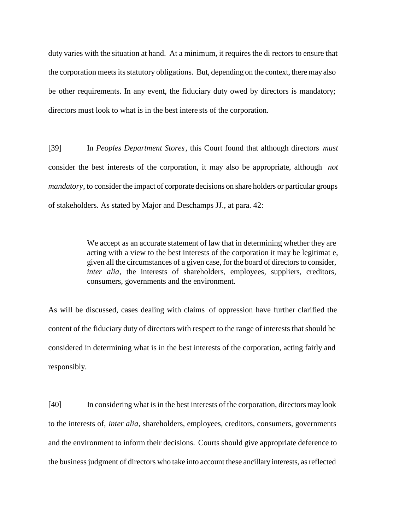duty varies with the situation at hand. At a minimum, it requires the di rectors to ensure that the corporation meets its statutory obligations. But, depending on the context, there may also be other requirements. In any event, the fiduciary duty owed by directors is mandatory; directors must look to what is in the best intere sts of the corporation.

[39] In *Peoples Department Stores*, this Court found that although directors *must* consider the best interests of the corporation, it may also be appropriate, although *not mandatory*, to consider the impact of corporate decisions on share holders or particular groups of stakeholders. As stated by Major and Deschamps JJ., at para. 42:

> We accept as an accurate statement of law that in determining whether they are acting with a view to the best interests of the corporation it may be legitimat e, given all the circumstances of a given case, for the board of directors to consider, *inter alia*, the interests of shareholders, employees, suppliers, creditors, consumers, governments and the environment.

As will be discussed, cases dealing with claims of oppression have further clarified the content of the fiduciary duty of directors with respect to the range of interests that should be considered in determining what is in the best interests of the corporation, acting fairly and responsibly.

[40] In considering what is in the best interests of the corporation, directors may look to the interests of, *inter alia*, shareholders, employees, creditors, consumers, governments and the environment to inform their decisions. Courts should give appropriate deference to the business judgment of directors who take into account these ancillary interests, as reflected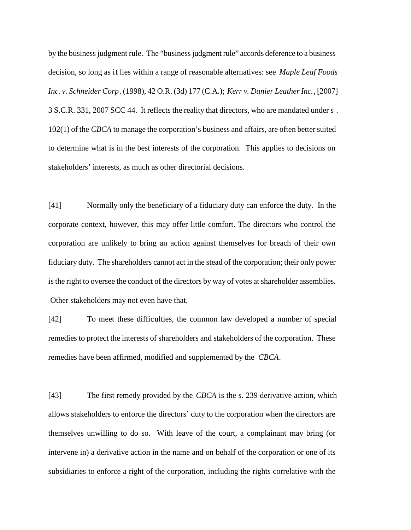by the business judgment rule. The "business judgment rule" accords deference to a business decision, so long as it lies within a range of reasonable alternatives: see *Maple Leaf Foods Inc. v. Schneider Corp*. (1998), 42 O.R. (3d) 177 (C.A.); *Kerr v. Danier Leather Inc.*, [2007] 3 S.C.R. 331, 2007 SCC 44. It reflects the reality that directors, who are mandated under s . 102(1) of the *CBCA* to manage the corporation's business and affairs, are often better suited to determine what is in the best interests of the corporation. This applies to decisions on stakeholders' interests, as much as other directorial decisions.

[41] Normally only the beneficiary of a fiduciary duty can enforce the duty. In the corporate context, however, this may offer little comfort. The directors who control the corporation are unlikely to bring an action against themselves for breach of their own fiduciary duty. The shareholders cannot act in the stead of the corporation; their only power is the right to oversee the conduct of the directors by way of votes at shareholder assemblies. Other stakeholders may not even have that.

[42] To meet these difficulties, the common law developed a number of special remedies to protect the interests of shareholders and stakeholders of the corporation. These remedies have been affirmed, modified and supplemented by the *CBCA*.

[43] The first remedy provided by the *CBCA* is the s. 239 derivative action, which allows stakeholders to enforce the directors' duty to the corporation when the directors are themselves unwilling to do so. With leave of the court, a complainant may bring (or intervene in) a derivative action in the name and on behalf of the corporation or one of its subsidiaries to enforce a right of the corporation, including the rights correlative with the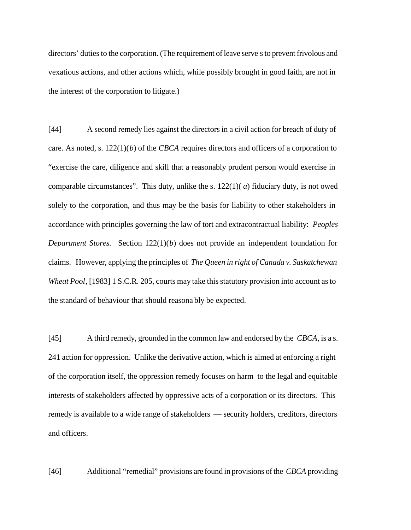directors' duties to the corporation. (The requirement of leave serve s to prevent frivolous and vexatious actions, and other actions which, while possibly brought in good faith, are not in the interest of the corporation to litigate.)

[44] A second remedy lies against the directors in a civil action for breach of duty of care. As noted, s. 122(1)(*b*) of the *CBCA* requires directors and officers of a corporation to "exercise the care, diligence and skill that a reasonably prudent person would exercise in comparable circumstances". This duty, unlike the s. 122(1)( *a*) fiduciary duty, is not owed solely to the corporation, and thus may be the basis for liability to other stakeholders in accordance with principles governing the law of tort and extracontractual liability: *Peoples Department Stores.* Section 122(1)(*b*) does not provide an independent foundation for claims. However, applying the principles of *The Queen in right of Canada v. Saskatchewan Wheat Pool*, [1983] 1 S.C.R. 205, courts may take this statutory provision into account as to the standard of behaviour that should reasona bly be expected.

[45] A third remedy, grounded in the common law and endorsed by the *CBCA*, is a s. 241 action for oppression. Unlike the derivative action, which is aimed at enforcing a right of the corporation itself, the oppression remedy focuses on harm to the legal and equitable interests of stakeholders affected by oppressive acts of a corporation or its directors. This remedy is available to a wide range of stakeholders — security holders, creditors, directors and officers.

[46] Additional "remedial" provisions are found in provisions of the *CBCA* providing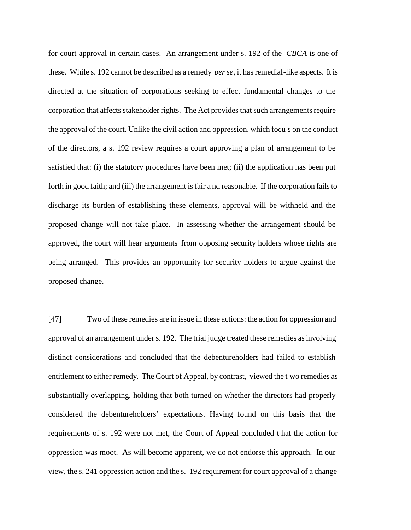for court approval in certain cases. An arrangement under s. 192 of the *CBCA* is one of these. While s. 192 cannot be described as a remedy *per se*, it has remedial-like aspects. It is directed at the situation of corporations seeking to effect fundamental changes to the corporation that affects stakeholder rights. The Act provides that such arrangements require the approval of the court. Unlike the civil action and oppression, which focu s on the conduct of the directors, a s. 192 review requires a court approving a plan of arrangement to be satisfied that: (i) the statutory procedures have been met; (ii) the application has been put forth in good faith; and (iii) the arrangement is fair a nd reasonable. If the corporation fails to discharge its burden of establishing these elements, approval will be withheld and the proposed change will not take place. In assessing whether the arrangement should be approved, the court will hear arguments from opposing security holders whose rights are being arranged. This provides an opportunity for security holders to argue against the proposed change.

[47] Two of these remedies are in issue in these actions: the action for oppression and approval of an arrangement under s. 192. The trial judge treated these remedies as involving distinct considerations and concluded that the debentureholders had failed to establish entitlement to either remedy. The Court of Appeal, by contrast, viewed the t wo remedies as substantially overlapping, holding that both turned on whether the directors had properly considered the debentureholders' expectations. Having found on this basis that the requirements of s. 192 were not met, the Court of Appeal concluded t hat the action for oppression was moot. As will become apparent, we do not endorse this approach. In our view, the s. 241 oppression action and the s. 192 requirement for court approval of a change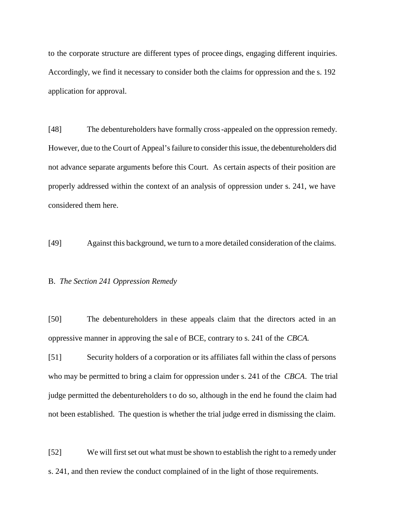to the corporate structure are different types of procee dings, engaging different inquiries. Accordingly, we find it necessary to consider both the claims for oppression and the s. 192 application for approval.

[48] The debentureholders have formally cross-appealed on the oppression remedy. However, due to the Court of Appeal's failure to consider this issue, the debentureholders did not advance separate arguments before this Court. As certain aspects of their position are properly addressed within the context of an analysis of oppression under s. 241, we have considered them here.

[49] Against this background, we turn to a more detailed consideration of the claims.

#### B. *The Section 241 Oppression Remedy*

[50] The debentureholders in these appeals claim that the directors acted in an oppressive manner in approving the sal e of BCE, contrary to s. 241 of the *CBCA.*

[51] Security holders of a corporation or its affiliates fall within the class of persons who may be permitted to bring a claim for oppression under s. 241 of the *CBCA*. The trial judge permitted the debentureholders to do so, although in the end he found the claim had not been established. The question is whether the trial judge erred in dismissing the claim.

[52] We will first set out what must be shown to establish the right to a remedy under s. 241, and then review the conduct complained of in the light of those requirements.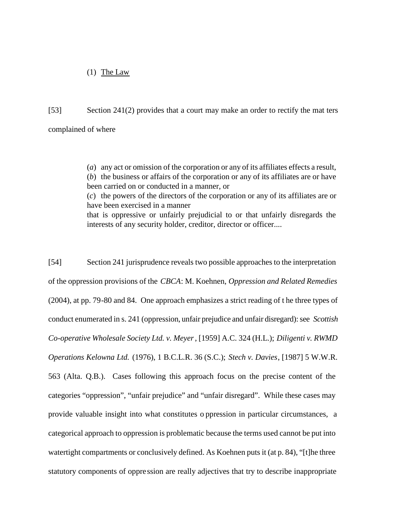# (1) The Law

[53] Section 241(2) provides that a court may make an order to rectify the mat ters complained of where

> (*a*) any act or omission of the corporation or any of its affiliates effects a result, (*b*) the business or affairs of the corporation or any of its affiliates are or have been carried on or conducted in a manner, or (*c*) the powers of the directors of the corporation or any of its affiliates are or have been exercised in a manner that is oppressive or unfairly prejudicial to or that unfairly disregards the

interests of any security holder, creditor, director or officer....

[54] Section 241 jurisprudence reveals two possible approaches to the interpretation of the oppression provisions of the *CBCA*: M. Koehnen, *Oppression and Related Remedies* (2004), at pp. 79-80 and 84. One approach emphasizes a strict reading of t he three types of conduct enumerated in s. 241 (oppression, unfair prejudice and unfair disregard): see *Scottish Co-operative Wholesale Society Ltd. v. Meyer*, [1959] A.C. 324 (H.L.); *Diligenti v. RWMD Operations Kelowna Ltd.* (1976), 1 B.C.L.R. 36 (S.C.); *Stech v. Davies*, [1987] 5 W.W.R. 563 (Alta. Q.B.). Cases following this approach focus on the precise content of the categories "oppression", "unfair prejudice" and "unfair disregard". While these cases may provide valuable insight into what constitutes o ppression in particular circumstances, a categorical approach to oppression is problematic because the terms used cannot be put into watertight compartments or conclusively defined. As Koehnen puts it (at p. 84), "[t]he three statutory components of oppre ssion are really adjectives that try to describe inappropriate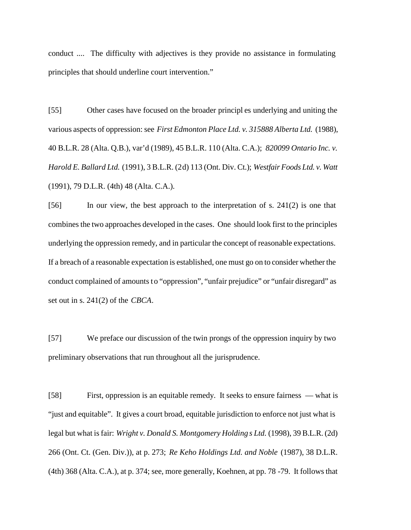conduct .... The difficulty with adjectives is they provide no assistance in formulating principles that should underline court intervention."

[55] Other cases have focused on the broader principl es underlying and uniting the various aspects of oppression: see *First Edmonton Place Ltd. v. 315888 Alberta Ltd.* (1988), 40 B.L.R. 28 (Alta. Q.B.), var'd (1989), 45 B.L.R. 110 (Alta. C.A.); *820099 Ontario Inc. v. Harold E. Ballard Ltd.* (1991), 3 B.L.R. (2d) 113 (Ont. Div. Ct.); *Westfair Foods Ltd. v. Watt* (1991), 79 D.L.R. (4th) 48 (Alta. C.A.).

[56] In our view, the best approach to the interpretation of s. 241(2) is one that combines the two approaches developed in the cases. One should look first to the principles underlying the oppression remedy, and in particular the concept of reasonable expectations. If a breach of a reasonable expectation is established, one must go on to consider whether the conduct complained of amounts to "oppression", "unfair prejudice" or "unfair disregard" as set out in s. 241(2) of the *CBCA*.

[57] We preface our discussion of the twin prongs of the oppression inquiry by two preliminary observations that run throughout all the jurisprudence.

[58] First, oppression is an equitable remedy. It seeks to ensure fairness — what is "just and equitable". It gives a court broad, equitable jurisdiction to enforce not just what is legal but what is fair: *Wright v. Donald S. Montgomery Holding s Ltd.* (1998), 39 B.L.R. (2d) 266 (Ont. Ct. (Gen. Div.)), at p. 273; *Re Keho Holdings Ltd. and Noble* (1987), 38 D.L.R. (4th) 368 (Alta. C.A.), at p. 374; see, more generally, Koehnen, at pp. 78 -79. It follows that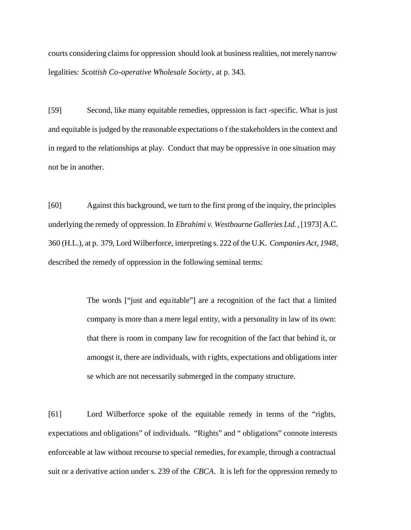courts considering claims for oppression should look at business realities, not merely narrow legalities: *Scottish Co-operative Wholesale Society*, at p. 343.

[59] Second, like many equitable remedies, oppression is fact -specific. What is just and equitable is judged by the reasonable expectations o f the stakeholders in the context and in regard to the relationships at play. Conduct that may be oppressive in one situation may not be in another.

[60] Against this background, we turn to the first prong of the inquiry, the principles underlying the remedy of oppression. In *Ebrahimi v. Westbourne Galleries Ltd.*, [1973] A.C. 360 (H.L.), at p. 379, Lord Wilberforce, interpreting s. 222 of the U.K. *Companies Act, 1948*, described the remedy of oppression in the following seminal terms:

> The words ["just and equitable"] are a recognition of the fact that a limited company is more than a mere legal entity, with a personality in law of its own: that there is room in company law for recognition of the fact that behind it, or amongst it, there are individuals, with rights, expectations and obligations inter se which are not necessarily submerged in the company structure.

[61] Lord Wilberforce spoke of the equitable remedy in terms of the "rights, expectations and obligations" of individuals. "Rights" and " obligations" connote interests enforceable at law without recourse to special remedies, for example, through a contractual suit or a derivative action under s. 239 of the *CBCA*. It is left for the oppression remedy to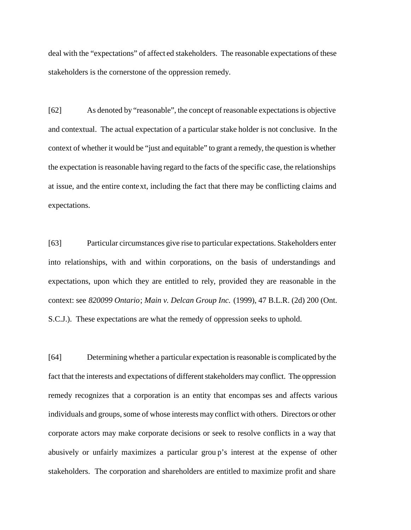deal with the "expectations" of affect ed stakeholders. The reasonable expectations of these stakeholders is the cornerstone of the oppression remedy.

[62] As denoted by "reasonable", the concept of reasonable expectations is objective and contextual. The actual expectation of a particular stake holder is not conclusive. In the context of whether it would be "just and equitable" to grant a remedy, the question is whether the expectation is reasonable having regard to the facts of the specific case, the relationships at issue, and the entire context, including the fact that there may be conflicting claims and expectations.

[63] Particular circumstances give rise to particular expectations. Stakeholders enter into relationships, with and within corporations, on the basis of understandings and expectations, upon which they are entitled to rely, provided they are reasonable in the context: see *820099 Ontario*; *Main v. Delcan Group Inc.* (1999), 47 B.L.R. (2d) 200 (Ont. S.C.J.). These expectations are what the remedy of oppression seeks to uphold.

[64] Determining whether a particular expectation is reasonable is complicated by the fact that the interests and expectations of different stakeholders may conflict. The oppression remedy recognizes that a corporation is an entity that encompas ses and affects various individuals and groups, some of whose interests may conflict with others. Directors or other corporate actors may make corporate decisions or seek to resolve conflicts in a way that abusively or unfairly maximizes a particular grou p's interest at the expense of other stakeholders. The corporation and shareholders are entitled to maximize profit and share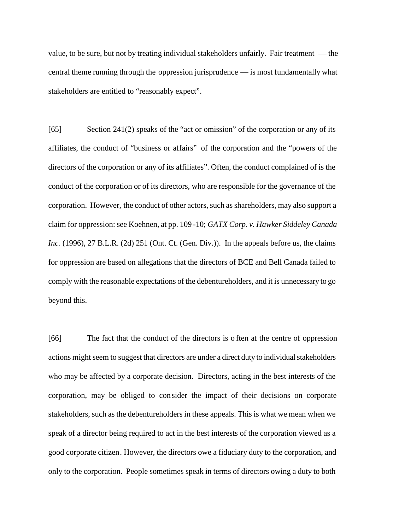value, to be sure, but not by treating individual stakeholders unfairly. Fair treatment — the central theme running through the oppression jurisprudence — is most fundamentally what stakeholders are entitled to "reasonably expect".

[65] Section 241(2) speaks of the "act or omission" of the corporation or any of its affiliates, the conduct of "business or affairs" of the corporation and the "powers of the directors of the corporation or any of its affiliates". Often, the conduct complained of is the conduct of the corporation or of its directors, who are responsible for the governance of the corporation. However, the conduct of other actors, such as shareholders, may also support a claim for oppression: see Koehnen, at pp. 109 -10; *GATX Corp. v. Hawker Siddeley Canada Inc.* (1996), 27 B.L.R. (2d) 251 (Ont. Ct. (Gen. Div.)). In the appeals before us, the claims for oppression are based on allegations that the directors of BCE and Bell Canada failed to comply with the reasonable expectations of the debentureholders, and it is unnecessary to go beyond this.

[66] The fact that the conduct of the directors is o ften at the centre of oppression actions might seem to suggest that directors are under a direct duty to individual stakeholders who may be affected by a corporate decision. Directors, acting in the best interests of the corporation, may be obliged to con sider the impact of their decisions on corporate stakeholders, such as the debentureholders in these appeals. This is what we mean when we speak of a director being required to act in the best interests of the corporation viewed as a good corporate citizen. However, the directors owe a fiduciary duty to the corporation, and only to the corporation. People sometimes speak in terms of directors owing a duty to both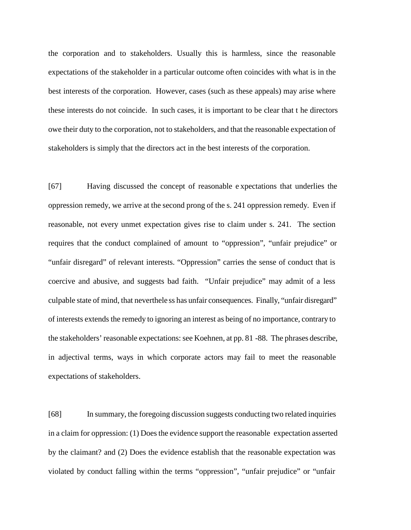the corporation and to stakeholders. Usually this is harmless, since the reasonable expectations of the stakeholder in a particular outcome often coincides with what is in the best interests of the corporation. However, cases (such as these appeals) may arise where these interests do not coincide. In such cases, it is important to be clear that t he directors owe their duty to the corporation, not to stakeholders, and that the reasonable expectation of stakeholders is simply that the directors act in the best interests of the corporation.

[67] Having discussed the concept of reasonable e xpectations that underlies the oppression remedy, we arrive at the second prong of the s. 241 oppression remedy. Even if reasonable, not every unmet expectation gives rise to claim under s. 241. The section requires that the conduct complained of amount to "oppression", "unfair prejudice" or "unfair disregard" of relevant interests. "Oppression" carries the sense of conduct that is coercive and abusive, and suggests bad faith. "Unfair prejudice" may admit of a less culpable state of mind, that neverthele ss has unfair consequences. Finally, "unfair disregard" of interests extends the remedy to ignoring an interest as being of no importance, contrary to the stakeholders' reasonable expectations: see Koehnen, at pp. 81 -88. The phrases describe, in adjectival terms, ways in which corporate actors may fail to meet the reasonable expectations of stakeholders.

[68] In summary, the foregoing discussion suggests conducting two related inquiries in a claim for oppression: (1) Does the evidence support the reasonable expectation asserted by the claimant? and (2) Does the evidence establish that the reasonable expectation was violated by conduct falling within the terms "oppression", "unfair prejudice" or "unfair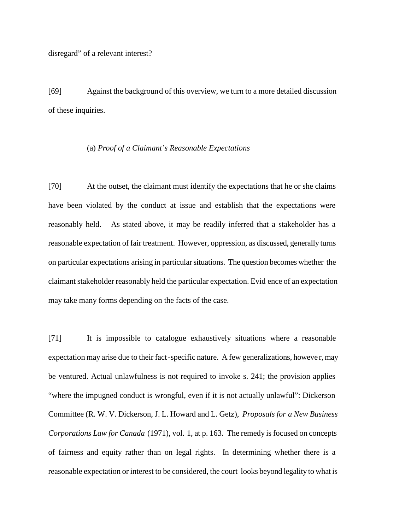[69] Against the background of this overview, we turn to a more detailed discussion of these inquiries.

#### (a) *Proof of a Claimant's Reasonable Expectations*

[70] At the outset, the claimant must identify the expectations that he or she claims have been violated by the conduct at issue and establish that the expectations were reasonably held. As stated above, it may be readily inferred that a stakeholder has a reasonable expectation of fair treatment. However, oppression, as discussed, generally turns on particular expectations arising in particular situations. The question becomes whether the claimant stakeholder reasonably held the particular expectation. Evid ence of an expectation may take many forms depending on the facts of the case.

[71] It is impossible to catalogue exhaustively situations where a reasonable expectation may arise due to their fact-specific nature. A few generalizations, howeve r, may be ventured. Actual unlawfulness is not required to invoke s. 241; the provision applies "where the impugned conduct is wrongful, even if it is not actually unlawful": Dickerson Committee (R. W. V. Dickerson, J. L. Howard and L. Getz), *Proposals for a New Business Corporations Law for Canada* (1971), vol. 1, at p. 163. The remedy is focused on concepts of fairness and equity rather than on legal rights. In determining whether there is a reasonable expectation or interest to be considered, the court looks beyond legality to what is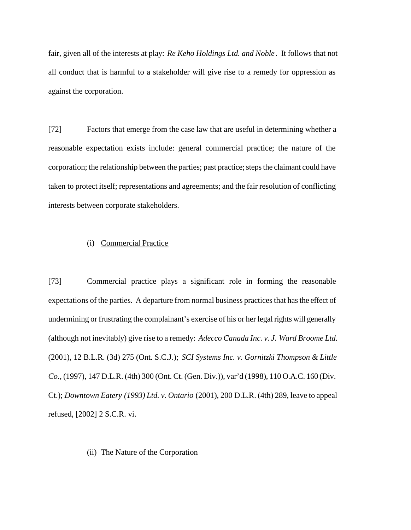fair, given all of the interests at play: *Re Keho Holdings Ltd. and Noble* . It follows that not all conduct that is harmful to a stakeholder will give rise to a remedy for oppression as against the corporation.

[72] Factors that emerge from the case law that are useful in determining whether a reasonable expectation exists include: general commercial practice; the nature of the corporation; the relationship between the parties; past practice; steps the claimant could have taken to protect itself; representations and agreements; and the fair resolution of conflicting interests between corporate stakeholders.

### (i) Commercial Practice

[73] Commercial practice plays a significant role in forming the reasonable expectations of the parties. A departure from normal business practices that has the effect of undermining or frustrating the complainant's exercise of his or her legal rights will generally (although not inevitably) give rise to a remedy: *Adecco Canada Inc. v. J. Ward Broome Ltd.* (2001), 12 B.L.R. (3d) 275 (Ont. S.C.J.); *SCI Systems Inc. v. Gornitzki Thompson & Little Co.*, (1997), 147 D.L.R. (4th) 300 (Ont. Ct. (Gen. Div.)), var'd (1998), 110 O.A.C. 160 (Div. Ct.); *Downtown Eatery (1993) Ltd. v. Ontario* (2001), 200 D.L.R. (4th) 289, leave to appeal refused, [2002] 2 S.C.R. vi.

## (ii) The Nature of the Corporation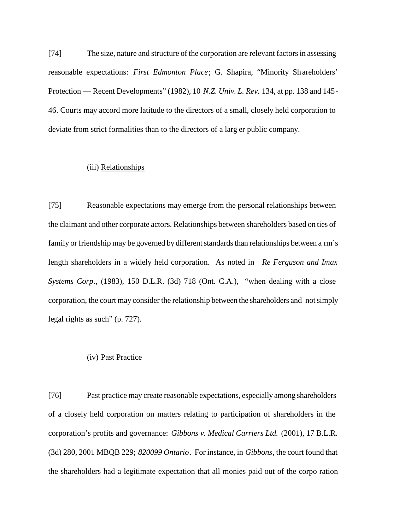[74] The size, nature and structure of the corporation are relevant factors in assessing reasonable expectations: *First Edmonton Place*; G. Shapira, "Minority Shareholders' Protection — Recent Developments" (1982), 10 *N.Z. Univ. L. Rev.* 134, at pp. 138 and 145- 46. Courts may accord more latitude to the directors of a small, closely held corporation to deviate from strict formalities than to the directors of a larg er public company.

### (iii) Relationships

[75] Reasonable expectations may emerge from the personal relationships between the claimant and other corporate actors. Relationships between shareholders based on ties of family or friendship may be governed by different standards than relationships between a rm's length shareholders in a widely held corporation. As noted in *Re Ferguson and Imax Systems Corp*., (1983), 150 D.L.R. (3d) 718 (Ont. C.A.), "when dealing with a close corporation, the court may consider the relationship between the shareholders and not simply legal rights as such" (p. 727).

## (iv) Past Practice

[76] Past practice may create reasonable expectations, especially among shareholders of a closely held corporation on matters relating to participation of shareholders in the corporation's profits and governance: *Gibbons v. Medical Carriers Ltd.* (2001), 17 B.L.R. (3d) 280, 2001 MBQB 229; *820099 Ontario*. For instance, in *Gibbons*, the court found that the shareholders had a legitimate expectation that all monies paid out of the corpo ration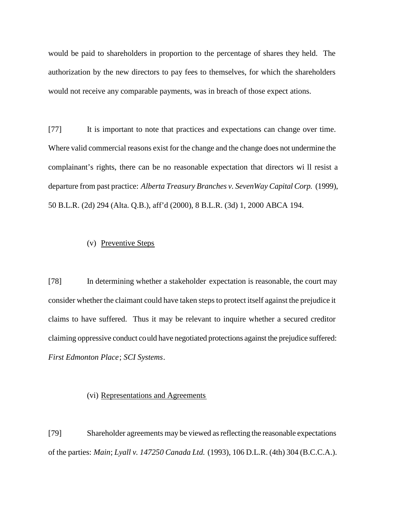would be paid to shareholders in proportion to the percentage of shares they held. The authorization by the new directors to pay fees to themselves, for which the shareholders would not receive any comparable payments, was in breach of those expect ations.

[77] It is important to note that practices and expectations can change over time. Where valid commercial reasons exist for the change and the change does not undermine the complainant's rights, there can be no reasonable expectation that directors wi ll resist a departure from past practice: *Alberta Treasury Branches v. SevenWay Capital Corp.* (1999), 50 B.L.R. (2d) 294 (Alta. Q.B.), aff'd (2000), 8 B.L.R. (3d) 1, 2000 ABCA 194.

# (v) Preventive Steps

[78] In determining whether a stakeholder expectation is reasonable, the court may consider whether the claimant could have taken steps to protect itself against the prejudice it claims to have suffered. Thus it may be relevant to inquire whether a secured creditor claiming oppressive conduct could have negotiated protections against the prejudice suffered: *First Edmonton Place*; *SCI Systems*.

#### (vi) Representations and Agreements

[79] Shareholder agreements may be viewed as reflecting the reasonable expectations of the parties: *Main*; *Lyall v. 147250 Canada Ltd.* (1993), 106 D.L.R. (4th) 304 (B.C.C.A.).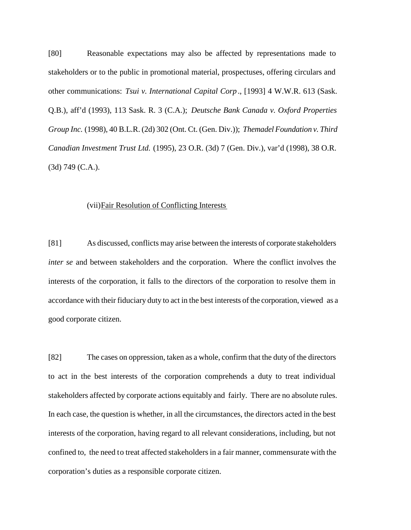[80] Reasonable expectations may also be affected by representations made to stakeholders or to the public in promotional material, prospectuses, offering circulars and other communications: *Tsui v. International Capital Corp* ., [1993] 4 W.W.R. 613 (Sask. Q.B.), aff'd (1993), 113 Sask. R. 3 (C.A.); *Deutsche Bank Canada v. Oxford Properties Group Inc.* (1998), 40 B.L.R. (2d) 302 (Ont. Ct. (Gen. Div.)); *Themadel Foundation v. Third Canadian Investment Trust Ltd.* (1995), 23 O.R. (3d) 7 (Gen. Div.), var'd (1998), 38 O.R. (3d) 749 (C.A.).

## (vii)Fair Resolution of Conflicting Interests

[81] As discussed, conflicts may arise between the interests of corporate stakeholders *inter se* and between stakeholders and the corporation. Where the conflict involves the interests of the corporation, it falls to the directors of the corporation to resolve them in accordance with their fiduciary duty to act in the best interests of the corporation, viewed as a good corporate citizen.

[82] The cases on oppression, taken as a whole, confirm that the duty of the directors to act in the best interests of the corporation comprehends a duty to treat individual stakeholders affected by corporate actions equitably and fairly. There are no absolute rules. In each case, the question is whether, in all the circumstances, the directors acted in the best interests of the corporation, having regard to all relevant considerations, including, but not confined to, the need to treat affected stakeholders in a fair manner, commensurate with the corporation's duties as a responsible corporate citizen.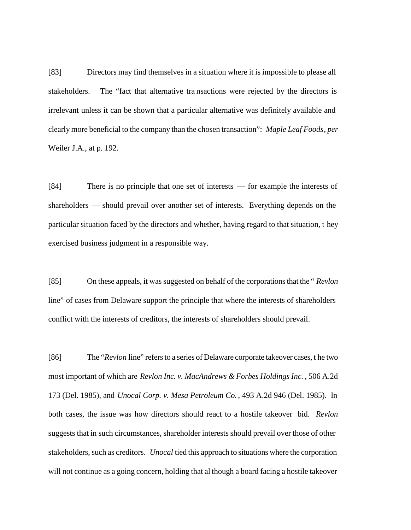[83] Directors may find themselves in a situation where it is impossible to please all stakeholders. The "fact that alternative tra nsactions were rejected by the directors is irrelevant unless it can be shown that a particular alternative was definitely available and clearly more beneficial to the company than the chosen transaction": *Maple Leaf Foods*, *per* Weiler J.A., at p. 192.

[84] There is no principle that one set of interests — for example the interests of shareholders — should prevail over another set of interests. Everything depends on the particular situation faced by the directors and whether, having regard to that situation, t hey exercised business judgment in a responsible way.

[85] On these appeals, it was suggested on behalf of the corporations that the " *Revlon* line" of cases from Delaware support the principle that where the interests of shareholders conflict with the interests of creditors, the interests of shareholders should prevail.

[86] The "*Revlon* line" refers to a series of Delaware corporate takeover cases, t he two most important of which are *Revlon Inc. v. MacAndrews & Forbes Holdings Inc.* , 506 A.2d 173 (Del. 1985), and *Unocal Corp. v. Mesa Petroleum Co.* , 493 A.2d 946 (Del. 1985). In both cases, the issue was how directors should react to a hostile takeover bid. *Revlon* suggests that in such circumstances, shareholder interests should prevail over those of other stakeholders, such as creditors. *Unocal* tied this approach to situations where the corporation will not continue as a going concern, holding that al though a board facing a hostile takeover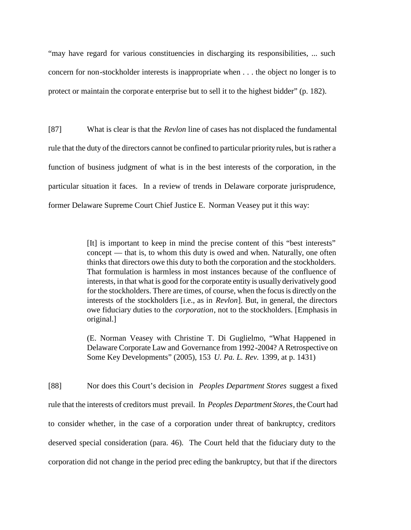"may have regard for various constituencies in discharging its responsibilities, ... such concern for non-stockholder interests is inappropriate when . . . the object no longer is to protect or maintain the corporat e enterprise but to sell it to the highest bidder" (p. 182).

[87] What is clear is that the *Revlon* line of cases has not displaced the fundamental rule that the duty of the directors cannot be confined to particular priority rules, but is rather a function of business judgment of what is in the best interests of the corporation, in the particular situation it faces. In a review of trends in Delaware corporate jurisprudence, former Delaware Supreme Court Chief Justice E. Norman Veasey put it this way:

> [It] is important to keep in mind the precise content of this "best interests" concept — that is, to whom this duty is owed and when. Naturally, one often thinks that directors owe this duty to both the corporation and the stockholders. That formulation is harmless in most instances because of the confluence of interests, in that what is good for the corporate entity is usually derivatively good for the stockholders. There are times, of course, when the focus is directly on the interests of the stockholders [i.e., as in *Revlon*]. But, in general, the directors owe fiduciary duties to the *corporation*, not to the stockholders. [Emphasis in original.]

> (E. Norman Veasey with Christine T. Di Guglielmo, "What Happened in Delaware Corporate Law and Governance from 1992-2004? A Retrospective on Some Key Developments" (2005), 153 *U. Pa. L. Rev.* 1399, at p. 1431)

[88] Nor does this Court's decision in *Peoples Department Stores* suggest a fixed rule that the interests of creditors must prevail. In *Peoples Department Stores*, the Court had to consider whether, in the case of a corporation under threat of bankruptcy, creditors deserved special consideration (para. 46). The Court held that the fiduciary duty to the corporation did not change in the period prec eding the bankruptcy, but that if the directors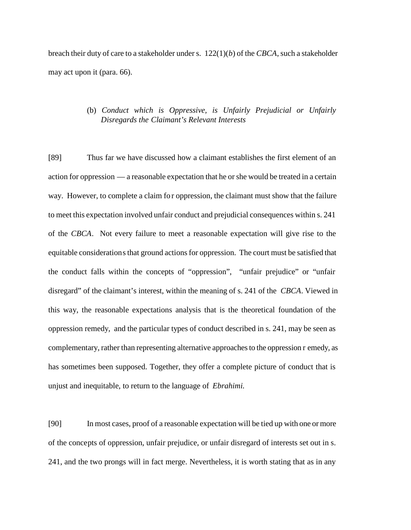breach their duty of care to a stakeholder under s. 122(1)(*b*) of the *CBCA*, such a stakeholder may act upon it (para. 66).

# (b) *Conduct which is Oppressive, is Unfairly Prejudicial or Unfairly Disregards the Claimant's Relevant Interests*

[89] Thus far we have discussed how a claimant establishes the first element of an action for oppression — a reasonable expectation that he or she would be treated in a certain way. However, to complete a claim for oppression, the claimant must show that the failure to meet this expectation involved unfair conduct and prejudicial consequences within s. 241 of the *CBCA*. Not every failure to meet a reasonable expectation will give rise to the equitable considerations that ground actions for oppression. The court must be satisfied that the conduct falls within the concepts of "oppression", "unfair prejudice" or "unfair disregard" of the claimant's interest, within the meaning of s. 241 of the *CBCA*. Viewed in this way, the reasonable expectations analysis that is the theoretical foundation of the oppression remedy, and the particular types of conduct described in s. 241, may be seen as complementary, rather than representing alternative approaches to the oppression r emedy, as has sometimes been supposed. Together, they offer a complete picture of conduct that is unjust and inequitable, to return to the language of *Ebrahimi.*

[90] In most cases, proof of a reasonable expectation will be tied up with one or more of the concepts of oppression, unfair prejudice, or unfair disregard of interests set out in s. 241, and the two prongs will in fact merge. Nevertheless, it is worth stating that as in any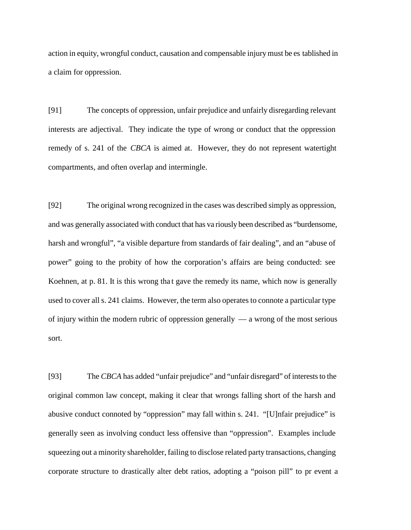action in equity, wrongful conduct, causation and compensable injury must be es tablished in a claim for oppression.

[91] The concepts of oppression, unfair prejudice and unfairly disregarding relevant interests are adjectival. They indicate the type of wrong or conduct that the oppression remedy of s. 241 of the *CBCA* is aimed at. However, they do not represent watertight compartments, and often overlap and intermingle.

[92] The original wrong recognized in the cases was described simply as oppression, and was generally associated with conduct that has va riously been described as "burdensome, harsh and wrongful", "a visible departure from standards of fair dealing", and an "abuse of power" going to the probity of how the corporation's affairs are being conducted: see Koehnen, at p. 81. It is this wrong that gave the remedy its name, which now is generally used to cover all s. 241 claims. However, the term also operates to connote a particular type of injury within the modern rubric of oppression generally  $-$  a wrong of the most serious sort.

[93] The *CBCA* has added "unfair prejudice" and "unfair disregard" of interests to the original common law concept, making it clear that wrongs falling short of the harsh and abusive conduct connoted by "oppression" may fall within s. 241. "[U]nfair prejudice" is generally seen as involving conduct less offensive than "oppression". Examples include squeezing out a minority shareholder, failing to disclose related party transactions, changing corporate structure to drastically alter debt ratios, adopting a "poison pill" to pr event a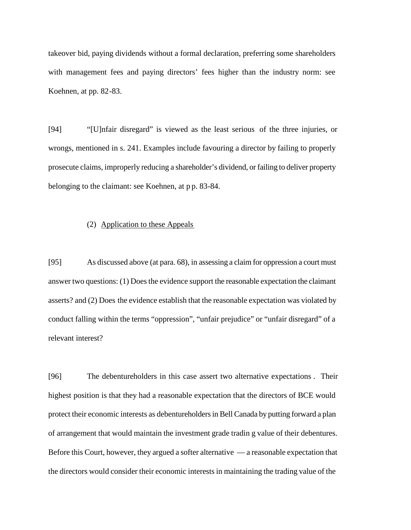takeover bid, paying dividends without a formal declaration, preferring some shareholders with management fees and paying directors' fees higher than the industry norm: see Koehnen, at pp. 82-83.

[94] "[U]nfair disregard" is viewed as the least serious of the three injuries, or wrongs, mentioned in s. 241. Examples include favouring a director by failing to properly prosecute claims, improperly reducing a shareholder's dividend, or failing to deliver property belonging to the claimant: see Koehnen, at p p. 83-84.

#### (2) Application to these Appeals

[95] As discussed above (at para. 68), in assessing a claim for oppression a court must answer two questions: (1) Does the evidence support the reasonable expectation the claimant asserts? and (2) Does the evidence establish that the reasonable expectation was violated by conduct falling within the terms "oppression", "unfair prejudice" or "unfair disregard" of a relevant interest?

[96] The debentureholders in this case assert two alternative expectations . Their highest position is that they had a reasonable expectation that the directors of BCE would protect their economic interests as debentureholders in Bell Canada by putting forward a plan of arrangement that would maintain the investment grade tradin g value of their debentures. Before this Court, however, they argued a softer alternative — a reasonable expectation that the directors would consider their economic interests in maintaining the trading value of the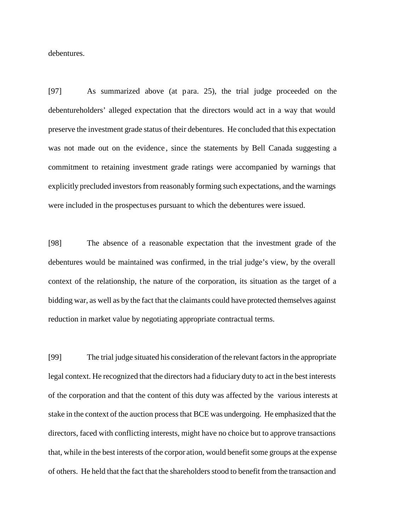debentures.

[97] As summarized above (at para. 25), the trial judge proceeded on the debentureholders' alleged expectation that the directors would act in a way that would preserve the investment grade status of their debentures. He concluded that this expectation was not made out on the evidence , since the statements by Bell Canada suggesting a commitment to retaining investment grade ratings were accompanied by warnings that explicitly precluded investors from reasonably forming such expectations, and the warnings were included in the prospectus es pursuant to which the debentures were issued.

[98] The absence of a reasonable expectation that the investment grade of the debentures would be maintained was confirmed, in the trial judge's view, by the overall context of the relationship, the nature of the corporation, its situation as the target of a bidding war, as well as by the fact that the claimants could have protected themselves against reduction in market value by negotiating appropriate contractual terms.

[99] The trial judge situated his consideration of the relevant factors in the appropriate legal context. He recognized that the directors had a fiduciary duty to act in the best interests of the corporation and that the content of this duty was affected by the various interests at stake in the context of the auction process that BCE was undergoing. He emphasized that the directors, faced with conflicting interests, might have no choice but to approve transactions that, while in the best interests of the corpor ation, would benefit some groups at the expense of others. He held that the fact that the shareholders stood to benefit from the transaction and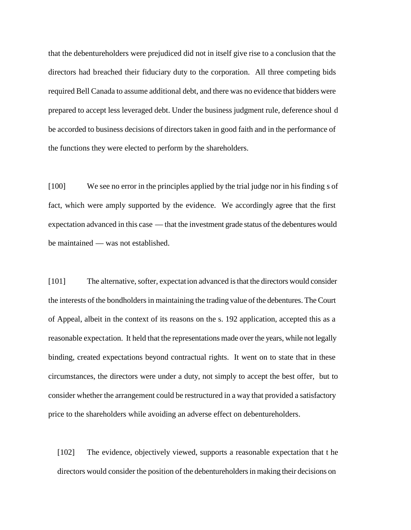that the debentureholders were prejudiced did not in itself give rise to a conclusion that the directors had breached their fiduciary duty to the corporation. All three competing bids required Bell Canada to assume additional debt, and there was no evidence that bidders were prepared to accept less leveraged debt. Under the business judgment rule, deference shoul d be accorded to business decisions of directors taken in good faith and in the performance of the functions they were elected to perform by the shareholders.

[100] We see no error in the principles applied by the trial judge nor in his finding s of fact, which were amply supported by the evidence. We accordingly agree that the first expectation advanced in this case — that the investment grade status of the debentures would be maintained — was not established.

[101] The alternative, softer, expectation advanced is that the directors would consider the interests of the bondholders in maintaining the trading value of the debentures. The Court of Appeal, albeit in the context of its reasons on the s. 192 application, accepted this as a reasonable expectation. It held that the representations made over the years, while not legally binding, created expectations beyond contractual rights. It went on to state that in these circumstances, the directors were under a duty, not simply to accept the best offer, but to consider whether the arrangement could be restructured in a way that provided a satisfactory price to the shareholders while avoiding an adverse effect on debentureholders.

[102] The evidence, objectively viewed, supports a reasonable expectation that t he directors would consider the position of the debentureholders in making their decisions on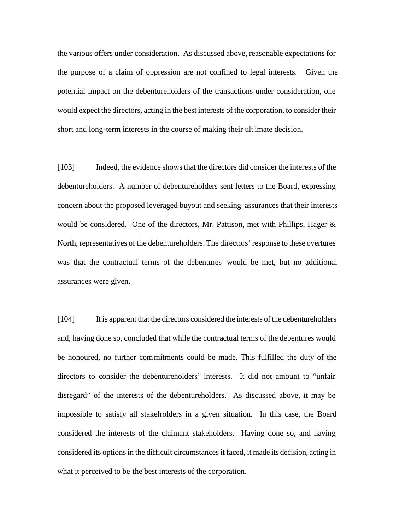the various offers under consideration. As discussed above, reasonable expectations for the purpose of a claim of oppression are not confined to legal interests. Given the potential impact on the debentureholders of the transactions under consideration, one would expect the directors, acting in the best interests of the corporation, to consider their short and long-term interests in the course of making their ult imate decision.

[103] Indeed, the evidence shows that the directors did consider the interests of the debentureholders. A number of debentureholders sent letters to the Board, expressing concern about the proposed leveraged buyout and seeking assurances that their interests would be considered. One of the directors, Mr. Pattison, met with Phillips, Hager  $\&$ North, representatives of the debentureholders. The directors' response to these overtures was that the contractual terms of the debentures would be met, but no additional assurances were given.

[104] It is apparent that the directors considered the interests of the debentureholders and, having done so, concluded that while the contractual terms of the debentures would be honoured, no further commitments could be made. This fulfilled the duty of the directors to consider the debentureholders' interests. It did not amount to "unfair disregard" of the interests of the debentureholders. As discussed above, it may be impossible to satisfy all stakeholders in a given situation. In this case, the Board considered the interests of the claimant stakeholders. Having done so, and having considered its options in the difficult circumstances it faced, it made its decision, acting in what it perceived to be the best interests of the corporation.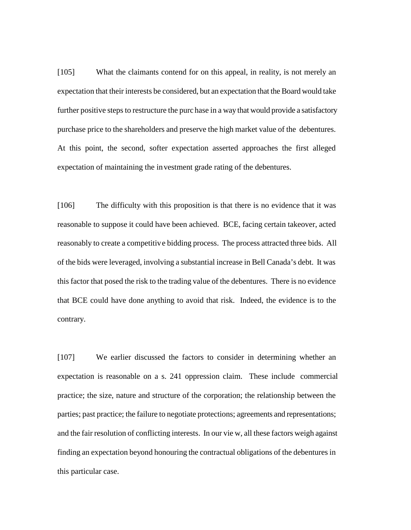[105] What the claimants contend for on this appeal, in reality, is not merely an expectation that their interests be considered, but an expectation that the Board would take further positive steps to restructure the purc hase in a way that would provide a satisfactory purchase price to the shareholders and preserve the high market value of the debentures. At this point, the second, softer expectation asserted approaches the first alleged expectation of maintaining the investment grade rating of the debentures.

[106] The difficulty with this proposition is that there is no evidence that it was reasonable to suppose it could have been achieved. BCE, facing certain takeover, acted reasonably to create a competitive bidding process. The process attracted three bids. All of the bids were leveraged, involving a substantial increase in Bell Canada's debt. It was this factor that posed the risk to the trading value of the debentures. There is no evidence that BCE could have done anything to avoid that risk. Indeed, the evidence is to the contrary.

[107] We earlier discussed the factors to consider in determining whether an expectation is reasonable on a s. 241 oppression claim. These include commercial practice; the size, nature and structure of the corporation; the relationship between the parties; past practice; the failure to negotiate protections; agreements and representations; and the fair resolution of conflicting interests. In our vie w, all these factors weigh against finding an expectation beyond honouring the contractual obligations of the debentures in this particular case.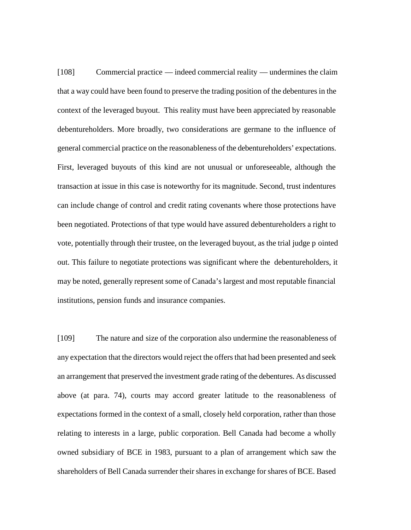[108] Commercial practice — indeed commercial reality — undermines the claim that a way could have been found to preserve the trading position of the debentures in the context of the leveraged buyout. This reality must have been appreciated by reasonable debentureholders. More broadly, two considerations are germane to the influence of general commercial practice on the reasonableness of the debentureholders' expectations. First, leveraged buyouts of this kind are not unusual or unforeseeable, although the transaction at issue in this case is noteworthy for its magnitude. Second, trust indentures can include change of control and credit rating covenants where those protections have been negotiated. Protections of that type would have assured debentureholders a right to vote, potentially through their trustee, on the leveraged buyout, as the trial judge p ointed out. This failure to negotiate protections was significant where the debentureholders, it may be noted, generally represent some of Canada's largest and most reputable financial institutions, pension funds and insurance companies.

[109] The nature and size of the corporation also undermine the reasonableness of any expectation that the directors would reject the offers that had been presented and seek an arrangement that preserved the investment grade rating of the debentures. As discussed above (at para. 74), courts may accord greater latitude to the reasonableness of expectations formed in the context of a small, closely held corporation, rather than those relating to interests in a large, public corporation. Bell Canada had become a wholly owned subsidiary of BCE in 1983, pursuant to a plan of arrangement which saw the shareholders of Bell Canada surrender their shares in exchange for shares of BCE. Based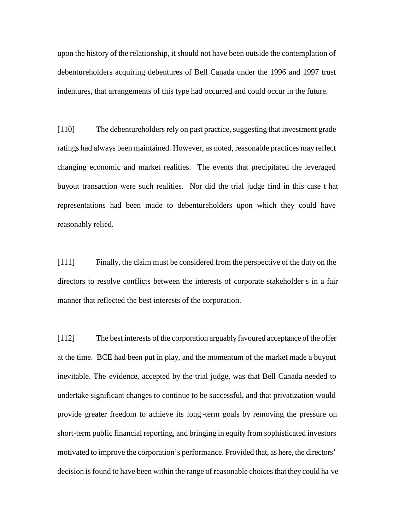upon the history of the relationship, it should not have been outside the contemplation of debentureholders acquiring debentures of Bell Canada under the 1996 and 1997 trust indentures, that arrangements of this type had occurred and could occur in the future.

[110] The debentureholders rely on past practice, suggesting that investment grade ratings had always been maintained. However, as noted, reasonable practices may reflect changing economic and market realities. The events that precipitated the leveraged buyout transaction were such realities. Nor did the trial judge find in this case t hat representations had been made to debentureholders upon which they could have reasonably relied.

[111] Finally, the claim must be considered from the perspective of the duty on the directors to resolve conflicts between the interests of corporate stakeholder s in a fair manner that reflected the best interests of the corporation.

[112] The best interests of the corporation arguably favoured acceptance of the offer at the time. BCE had been put in play, and the momentum of the market made a buyout inevitable. The evidence, accepted by the trial judge, was that Bell Canada needed to undertake significant changes to continue to be successful, and that privatization would provide greater freedom to achieve its long -term goals by removing the pressure on short-term public financial reporting, and bringing in equity from sophisticated investors motivated to improve the corporation's performance. Provided that, as here, the directors' decision is found to have been within the range of reasonable choices that they could ha ve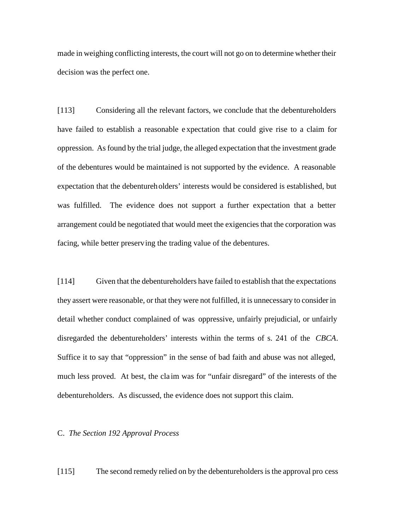made in weighing conflicting interests, the court will not go on to determine whether their decision was the perfect one.

[113] Considering all the relevant factors, we conclude that the debentureholders have failed to establish a reasonable e xpectation that could give rise to a claim for oppression. As found by the trial judge, the alleged expectation that the investment grade of the debentures would be maintained is not supported by the evidence. A reasonable expectation that the debentureholders' interests would be considered is established, but was fulfilled. The evidence does not support a further expectation that a better arrangement could be negotiated that would meet the exigencies that the corporation was facing, while better preserving the trading value of the debentures.

[114] Given that the debentureholders have failed to establish that the expectations they assert were reasonable, or that they were not fulfilled, it is unnecessary to consider in detail whether conduct complained of was oppressive, unfairly prejudicial, or unfairly disregarded the debentureholders' interests within the terms of s. 241 of the *CBCA*. Suffice it to say that "oppression" in the sense of bad faith and abuse was not alleged, much less proved. At best, the cla im was for "unfair disregard" of the interests of the debentureholders. As discussed, the evidence does not support this claim.

### C. *The Section 192 Approval Process*

[115] The second remedy relied on by the debentureholders is the approval pro cess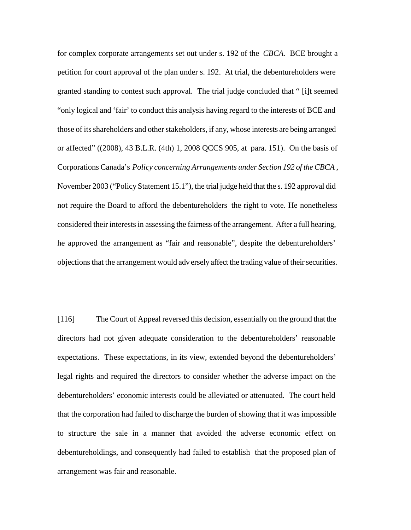for complex corporate arrangements set out under s. 192 of the *CBCA.* BCE brought a petition for court approval of the plan under s. 192. At trial, the debentureholders were granted standing to contest such approval. The trial judge concluded that " [i]t seemed "only logical and 'fair' to conduct this analysis having regard to the interests of BCE and those of its shareholders and other stakeholders, if any, whose interests are being arranged or affected" ((2008), 43 B.L.R. (4th) 1, 2008 QCCS 905, at para. 151). On the basis of Corporations Canada's *Policy concerning Arrangements under Section 192 of the CBCA* , November 2003 ("Policy Statement 15.1"), the trial judge held that the s. 192 approval did not require the Board to afford the debentureholders the right to vote. He nonetheless considered their interests in assessing the fairness of the arrangement. After a full hearing, he approved the arrangement as "fair and reasonable", despite the debentureholders' objections that the arrangement would adv ersely affect the trading value of their securities.

[116] The Court of Appeal reversed this decision, essentially on the ground that the directors had not given adequate consideration to the debentureholders' reasonable expectations. These expectations, in its view, extended beyond the debentureholders' legal rights and required the directors to consider whether the adverse impact on the debentureholders' economic interests could be alleviated or attenuated. The court held that the corporation had failed to discharge the burden of showing that it was impossible to structure the sale in a manner that avoided the adverse economic effect on debentureholdings, and consequently had failed to establish that the proposed plan of arrangement was fair and reasonable.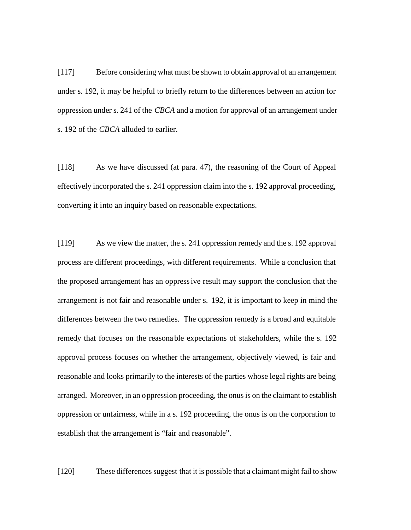[117] Before considering what must be shown to obtain approval of an arrangement under s. 192, it may be helpful to briefly return to the differences between an action for oppression under s. 241 of the *CBCA* and a motion for approval of an arrangement under s. 192 of the *CBCA* alluded to earlier.

[118] As we have discussed (at para. 47), the reasoning of the Court of Appeal effectively incorporated the s. 241 oppression claim into the s. 192 approval proceeding, converting it into an inquiry based on reasonable expectations.

[119] As we view the matter, the s. 241 oppression remedy and the s. 192 approval process are different proceedings, with different requirements. While a conclusion that the proposed arrangement has an oppressive result may support the conclusion that the arrangement is not fair and reasonable under s. 192, it is important to keep in mind the differences between the two remedies. The oppression remedy is a broad and equitable remedy that focuses on the reasona ble expectations of stakeholders, while the s. 192 approval process focuses on whether the arrangement, objectively viewed, is fair and reasonable and looks primarily to the interests of the parties whose legal rights are being arranged. Moreover, in an oppression proceeding, the onus is on the claimant to establish oppression or unfairness, while in a s. 192 proceeding, the onus is on the corporation to establish that the arrangement is "fair and reasonable".

[120] These differences suggest that it is possible that a claimant might fail to show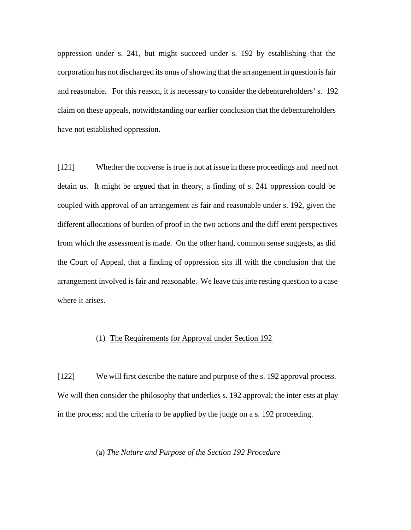oppression under s. 241, but might succeed under s. 192 by establishing that the corporation has not discharged its onus of showing that the arrangement in question is fair and reasonable. For this reason, it is necessary to consider the debentureholders' s. 192 claim on these appeals, notwithstanding our earlier conclusion that the debentureholders have not established oppression.

[121] Whether the converse is true is not at issue in these proceedings and need not detain us. It might be argued that in theory, a finding of s. 241 oppression could be coupled with approval of an arrangement as fair and reasonable under s. 192, given the different allocations of burden of proof in the two actions and the diff erent perspectives from which the assessment is made. On the other hand, common sense suggests, as did the Court of Appeal, that a finding of oppression sits ill with the conclusion that the arrangement involved is fair and reasonable. We leave this inte resting question to a case where it arises.

# (1) The Requirements for Approval under Section 192

[122] We will first describe the nature and purpose of the s. 192 approval process. We will then consider the philosophy that underlies s. 192 approval; the inter ests at play in the process; and the criteria to be applied by the judge on a s. 192 proceeding.

## (a) *The Nature and Purpose of the Section 192 Procedure*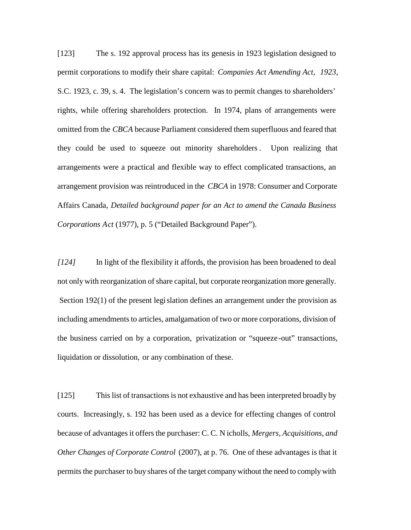[123] The s. 192 approval process has its genesis in 1923 legislation designed to permit corporations to modify their share capital: *Companies Act Amending Act, 1923*, S.C. 1923, c. 39, s. 4. The legislation's concern was to permit changes to shareholders' rights, while offering shareholders protection. In 1974, plans of arrangements were omitted from the *CBCA* because Parliament considered them superfluous and feared that they could be used to squeeze out minority shareholders *.* Upon realizing that arrangements were a practical and flexible way to effect complicated transactions, an arrangement provision was reintroduced in the *CBCA* in 1978: Consumer and Corporate Affairs Canada, *Detailed background paper for an Act to amend the Canada Business Corporations Act* (1977), p. 5 ("Detailed Background Paper").

*[124]* In light of the flexibility it affords, the provision has been broadened to deal not only with reorganization of share capital, but corporate reorganization more generally. Section 192(1) of the present legislation defines an arrangement under the provision as including amendments to articles, amalgamation of two or more corporations, division of the business carried on by a corporation, privatization or "squeeze-out" transactions, liquidation or dissolution, or any combination of these.

[125] This list of transactions is not exhaustive and has been interpreted broadly by courts. Increasingly, s. 192 has been used as a device for effecting changes of control because of advantages it offers the purchaser: C. C. N icholls, *Mergers, Acquisitions, and Other Changes of Corporate Control* (2007), at p. 76. One of these advantages is that it permits the purchaser to buy shares of the target company without the need to comply with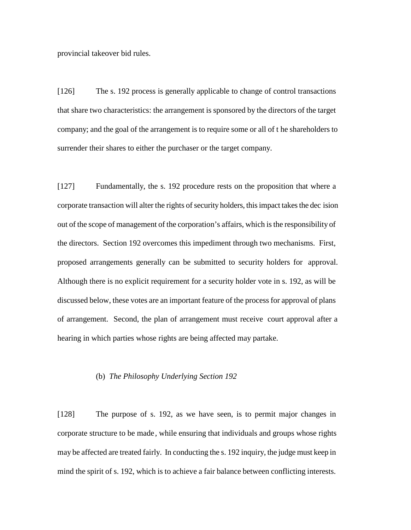provincial takeover bid rules.

[126] The s. 192 process is generally applicable to change of control transactions that share two characteristics: the arrangement is sponsored by the directors of the target company; and the goal of the arrangement is to require some or all of t he shareholders to surrender their shares to either the purchaser or the target company.

[127] Fundamentally, the s. 192 procedure rests on the proposition that where a corporate transaction will alter the rights of security holders, this impact takes the dec ision out of the scope of management of the corporation's affairs, which is the responsibility of the directors. Section 192 overcomes this impediment through two mechanisms. First, proposed arrangements generally can be submitted to security holders for approval. Although there is no explicit requirement for a security holder vote in s. 192, as will be discussed below, these votes are an important feature of the process for approval of plans of arrangement. Second, the plan of arrangement must receive court approval after a hearing in which parties whose rights are being affected may partake.

#### (b) *The Philosophy Underlying Section 192*

[128] The purpose of s. 192, as we have seen, is to permit major changes in corporate structure to be made, while ensuring that individuals and groups whose rights may be affected are treated fairly. In conducting the s. 192 inquiry, the judge must keep in mind the spirit of s. 192, which is to achieve a fair balance between conflicting interests.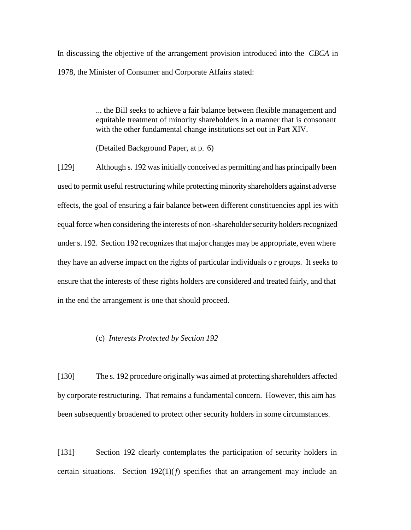In discussing the objective of the arrangement provision introduced into the *CBCA* in 1978, the Minister of Consumer and Corporate Affairs stated:

> ... the Bill seeks to achieve a fair balance between flexible management and equitable treatment of minority shareholders in a manner that is consonant with the other fundamental change institutions set out in Part XIV.

(Detailed Background Paper, at p. 6)

[129] Although s. 192 was initially conceived as permitting and has principally been used to permit useful restructuring while protecting minority shareholders against adverse effects, the goal of ensuring a fair balance between different constituencies appl ies with equal force when considering the interests of non -shareholder security holders recognized under s. 192. Section 192 recognizes that major changes may be appropriate, even where they have an adverse impact on the rights of particular individuals o r groups. It seeks to ensure that the interests of these rights holders are considered and treated fairly, and that in the end the arrangement is one that should proceed.

## (c) *Interests Protected by Section 192*

[130] The s. 192 procedure originally was aimed at protecting shareholders affected by corporate restructuring. That remains a fundamental concern. However, this aim has been subsequently broadened to protect other security holders in some circumstances.

[131] Section 192 clearly contempla tes the participation of security holders in certain situations. Section  $192(1)(f)$  specifies that an arrangement may include an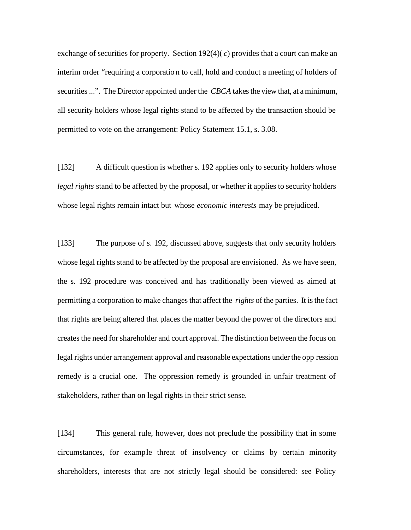exchange of securities for property. Section  $192(4)(c)$  provides that a court can make an interim order "requiring a corporatio n to call, hold and conduct a meeting of holders of securities ...". The Director appointed under the *CBCA* takes the view that, at a minimum, all security holders whose legal rights stand to be affected by the transaction should be permitted to vote on the arrangement: Policy Statement 15.1, s. 3.08.

[132] A difficult question is whether s. 192 applies only to security holders whose *legal rights* stand to be affected by the proposal, or whether it applies to security holders whose legal rights remain intact but whose *economic interests* may be prejudiced.

[133] The purpose of s. 192, discussed above, suggests that only security holders whose legal rights stand to be affected by the proposal are envisioned. As we have seen, the s. 192 procedure was conceived and has traditionally been viewed as aimed at permitting a corporation to make changes that affect the *rights* of the parties. It is the fact that rights are being altered that places the matter beyond the power of the directors and creates the need for shareholder and court approval. The distinction between the focus on legal rights under arrangement approval and reasonable expectations under the opp ression remedy is a crucial one. The oppression remedy is grounded in unfair treatment of stakeholders, rather than on legal rights in their strict sense.

[134] This general rule, however, does not preclude the possibility that in some circumstances, for example threat of insolvency or claims by certain minority shareholders, interests that are not strictly legal should be considered: see Policy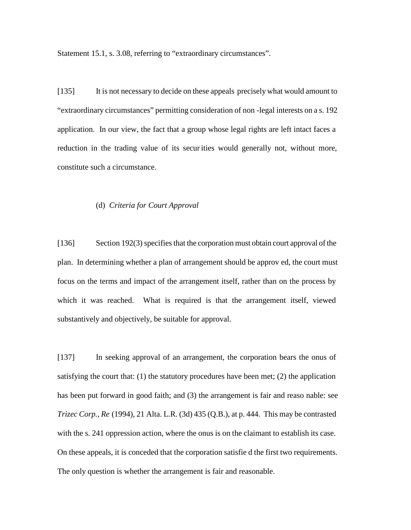Statement 15.1, s. 3.08, referring to "extraordinary circumstances".

[135] It is not necessary to decide on these appeals precisely what would amount to "extraordinary circumstances" permitting consideration of non -legal interests on a s. 192 application. In our view, the fact that a group whose legal rights are left intact faces a reduction in the trading value of its securities would generally not, without more, constitute such a circumstance.

## (d) *Criteria for Court Approval*

[136] Section 192(3) specifies that the corporation must obtain court approval of the plan. In determining whether a plan of arrangement should be approv ed, the court must focus on the terms and impact of the arrangement itself, rather than on the process by which it was reached. What is required is that the arrangement itself, viewed substantively and objectively, be suitable for approval.

[137] In seeking approval of an arrangement, the corporation bears the onus of satisfying the court that:  $(1)$  the statutory procedures have been met;  $(2)$  the application has been put forward in good faith; and (3) the arrangement is fair and reaso nable: see *Trizec Corp., Re* (1994), 21 Alta. L.R. (3d) 435 (Q.B.), at p. 444. This may be contrasted with the s. 241 oppression action, where the onus is on the claimant to establish its case. On these appeals, it is conceded that the corporation satisfie d the first two requirements. The only question is whether the arrangement is fair and reasonable.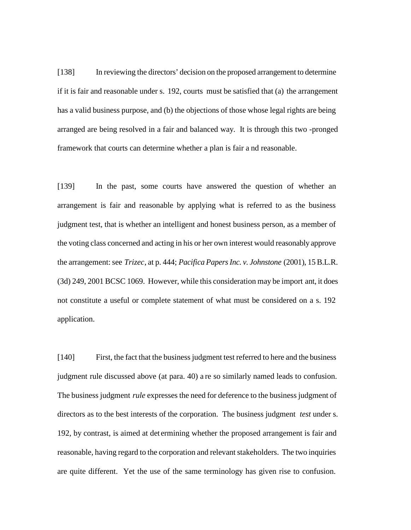[138] In reviewing the directors' decision on the proposed arrangement to determine if it is fair and reasonable under s. 192, courts must be satisfied that (a) the arrangement has a valid business purpose, and (b) the objections of those whose legal rights are being arranged are being resolved in a fair and balanced way. It is through this two -pronged framework that courts can determine whether a plan is fair a nd reasonable.

[139] In the past, some courts have answered the question of whether an arrangement is fair and reasonable by applying what is referred to as the business judgment test, that is whether an intelligent and honest business person, as a member of the voting class concerned and acting in his or her own interest would reasonably approve the arrangement: see *Trizec*, at p. 444; *Pacifica Papers Inc. v. Johnstone* (2001), 15 B.L.R. (3d) 249, 2001 BCSC 1069. However, while this consideration may be import ant, it does not constitute a useful or complete statement of what must be considered on a s. 192 application.

[140] First, the fact that the business judgment test referred to here and the business judgment rule discussed above (at para. 40) a re so similarly named leads to confusion. The business judgment *rule* expresses the need for deference to the business judgment of directors as to the best interests of the corporation. The business judgment *test* under s. 192, by contrast, is aimed at det ermining whether the proposed arrangement is fair and reasonable, having regard to the corporation and relevant stakeholders. The two inquiries are quite different. Yet the use of the same terminology has given rise to confusion.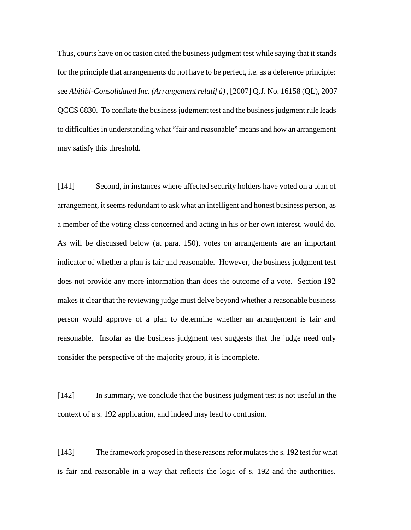Thus, courts have on occasion cited the business judgment test while saying that it stands for the principle that arrangements do not have to be perfect, i.e. as a deference principle: see *Abitibi-Consolidated Inc. (Arrangement relatif à)*, [2007] Q.J. No. 16158 (QL), 2007 QCCS 6830. To conflate the business judgment test and the business judgment rule leads to difficulties in understanding what "fair and reasonable" means and how an arrangement may satisfy this threshold.

[141] Second, in instances where affected security holders have voted on a plan of arrangement, it seems redundant to ask what an intelligent and honest business person, as a member of the voting class concerned and acting in his or her own interest, would do. As will be discussed below (at para. 150), votes on arrangements are an important indicator of whether a plan is fair and reasonable. However, the business judgment test does not provide any more information than does the outcome of a vote. Section 192 makes it clear that the reviewing judge must delve beyond whether a reasonable business person would approve of a plan to determine whether an arrangement is fair and reasonable. Insofar as the business judgment test suggests that the judge need only consider the perspective of the majority group, it is incomplete.

[142] In summary, we conclude that the business judgment test is not useful in the context of a s. 192 application, and indeed may lead to confusion.

[143] The framework proposed in these reasons reformulates the s. 192 test for what is fair and reasonable in a way that reflects the logic of s. 192 and the authorities.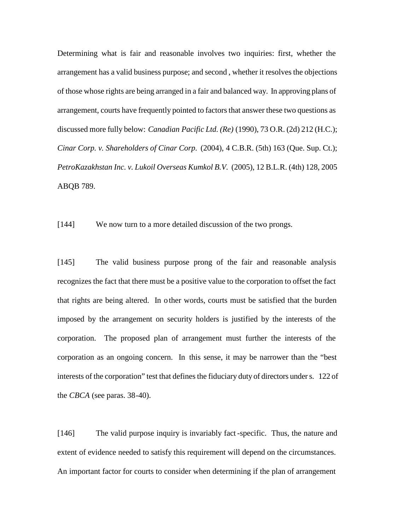Determining what is fair and reasonable involves two inquiries: first, whether the arrangement has a valid business purpose; and second , whether it resolves the objections of those whose rights are being arranged in a fair and balanced way. In approving plans of arrangement, courts have frequently pointed to factors that answer these two questions as discussed more fully below: *Canadian Pacific Ltd. (Re)* (1990), 73 O.R. (2d) 212 (H.C.); *Cinar Corp. v. Shareholders of Cinar Corp.* (2004), 4 C.B.R. (5th) 163 (Que. Sup. Ct.); *PetroKazakhstan Inc. v. Lukoil Overseas Kumkol B.V.* (2005), 12 B.L.R. (4th) 128, 2005 ABQB 789.

[144] We now turn to a more detailed discussion of the two prongs.

[145] The valid business purpose prong of the fair and reasonable analysis recognizes the fact that there must be a positive value to the corporation to offset the fact that rights are being altered. In o ther words, courts must be satisfied that the burden imposed by the arrangement on security holders is justified by the interests of the corporation. The proposed plan of arrangement must further the interests of the corporation as an ongoing concern. In this sense, it may be narrower than the "best interests of the corporation" test that defines the fiduciary duty of directors under s. 122 of the *CBCA* (see paras. 38-40).

[146] The valid purpose inquiry is invariably fact-specific. Thus, the nature and extent of evidence needed to satisfy this requirement will depend on the circumstances. An important factor for courts to consider when determining if the plan of arrangement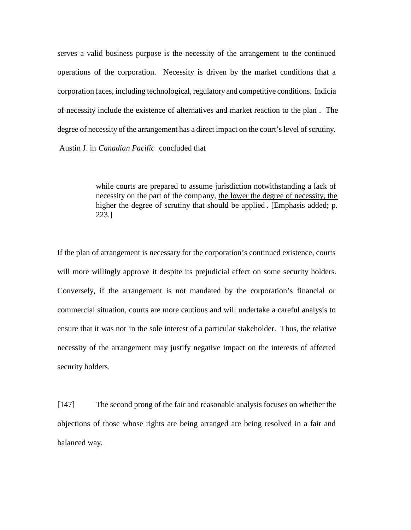serves a valid business purpose is the necessity of the arrangement to the continued operations of the corporation. Necessity is driven by the market conditions that a corporation faces, including technological, regulatory and competitive conditions. Indicia of necessity include the existence of alternatives and market reaction to the plan . The degree of necessity of the arrangement has a direct impact on the court's level of scrutiny. Austin J. in *Canadian Pacific* concluded that

> while courts are prepared to assume jurisdiction notwithstanding a lack of necessity on the part of the company, the lower the degree of necessity, the higher the degree of scrutiny that should be applied. [Emphasis added; p. 223.]

If the plan of arrangement is necessary for the corporation's continued existence, courts will more willingly approve it despite its prejudicial effect on some security holders. Conversely, if the arrangement is not mandated by the corporation's financial or commercial situation, courts are more cautious and will undertake a careful analysis to ensure that it was not in the sole interest of a particular stakeholder. Thus, the relative necessity of the arrangement may justify negative impact on the interests of affected security holders.

[147] The second prong of the fair and reasonable analysis focuses on whether the objections of those whose rights are being arranged are being resolved in a fair and balanced way.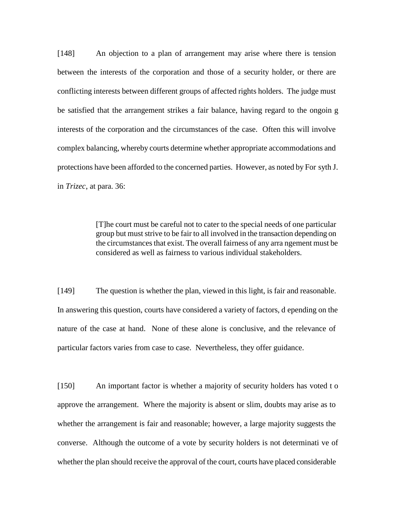[148] An objection to a plan of arrangement may arise where there is tension between the interests of the corporation and those of a security holder, or there are conflicting interests between different groups of affected rights holders. The judge must be satisfied that the arrangement strikes a fair balance, having regard to the ongoin g interests of the corporation and the circumstances of the case. Often this will involve complex balancing, whereby courts determine whether appropriate accommodations and protections have been afforded to the concerned parties. However, as noted by For syth J. in *Trizec*, at para. 36:

> [T]he court must be careful not to cater to the special needs of one particular group but must strive to be fair to all involved in the transaction depending on the circumstances that exist. The overall fairness of any arra ngement must be considered as well as fairness to various individual stakeholders.

[149] The question is whether the plan, viewed in this light, is fair and reasonable. In answering this question, courts have considered a variety of factors, d epending on the nature of the case at hand. None of these alone is conclusive, and the relevance of particular factors varies from case to case. Nevertheless, they offer guidance.

[150] An important factor is whether a majority of security holders has voted t o approve the arrangement. Where the majority is absent or slim, doubts may arise as to whether the arrangement is fair and reasonable; however, a large majority suggests the converse. Although the outcome of a vote by security holders is not determinati ve of whether the plan should receive the approval of the court, courts have placed considerable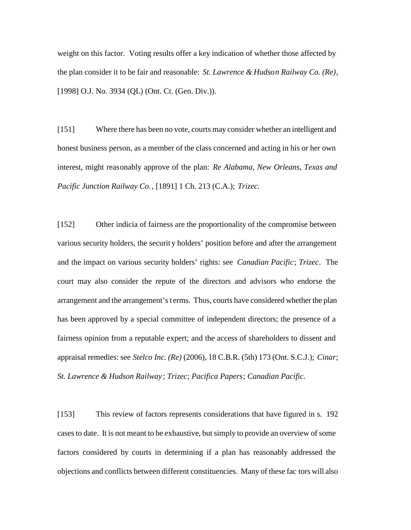weight on this factor. Voting results offer a key indication of whether those affected by the plan consider it to be fair and reasonable: *St. Lawrence & Hudson Railway Co. (Re)*, [1998] O.J. No. 3934 (QL) (Ont. Ct. (Gen. Div.)).

[151] Where there has been no vote, courts may consider whether an intelligent and honest business person, as a member of the class concerned and acting in his or her own interest, might reasonably approve of the plan: *Re Alabama, New Orleans, Texas and Pacific Junction Railway Co.*, [1891] 1 Ch. 213 (C.A.); *Trizec.*

[152] Other indicia of fairness are the proportionality of the compromise between various security holders, the securit y holders' position before and after the arrangement and the impact on various security holders' rights: see *Canadian Pacific*; *Trizec*. The court may also consider the repute of the directors and advisors who endorse the arrangement and the arrangement's t erms. Thus, courts have considered whether the plan has been approved by a special committee of independent directors; the presence of a fairness opinion from a reputable expert; and the access of shareholders to dissent and appraisal remedies: see *Stelco Inc. (Re)* (2006), 18 C.B.R. (5th) 173 (Ont. S.C.J.); *Cinar*; *St. Lawrence & Hudson Railway* ; *Trizec*; *Pacifica Papers*; *Canadian Pacific.*

[153] This review of factors represents considerations that have figured in s. 192 cases to date. It is not meant to be exhaustive, but simply to provide an overview of some factors considered by courts in determining if a plan has reasonably addressed the objections and conflicts between different constituencies. Many of these fac tors will also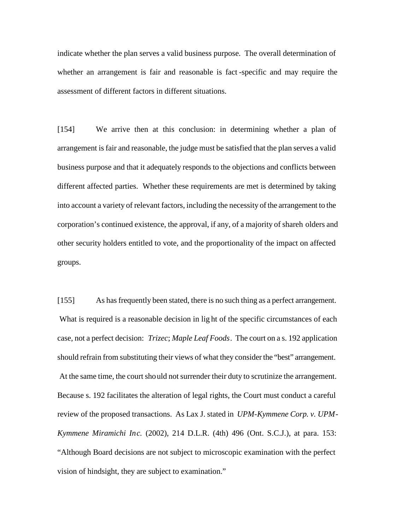indicate whether the plan serves a valid business purpose. The overall determination of whether an arrangement is fair and reasonable is fact -specific and may require the assessment of different factors in different situations.

[154] We arrive then at this conclusion: in determining whether a plan of arrangement is fair and reasonable, the judge must be satisfied that the plan serves a valid business purpose and that it adequately responds to the objections and conflicts between different affected parties. Whether these requirements are met is determined by taking into account a variety of relevant factors, including the necessity of the arrangement to the corporation's continued existence, the approval, if any, of a majority of shareh olders and other security holders entitled to vote, and the proportionality of the impact on affected groups.

[155] As has frequently been stated, there is no such thing as a perfect arrangement. What is required is a reasonable decision in light of the specific circumstances of each case, not a perfect decision: *Trizec*; *Maple Leaf Foods*. The court on a s. 192 application should refrain from substituting their views of what they consider the "best" arrangement. At the same time, the court should not surrender their duty to scrutinize the arrangement. Because s. 192 facilitates the alteration of legal rights, the Court must conduct a careful review of the proposed transactions. As Lax J. stated in *UPM-Kymmene Corp. v. UPM-Kymmene Miramichi Inc.* (2002), 214 D.L.R. (4th) 496 (Ont. S.C.J.), at para. 153: "Although Board decisions are not subject to microscopic examination with the perfect vision of hindsight, they are subject to examination."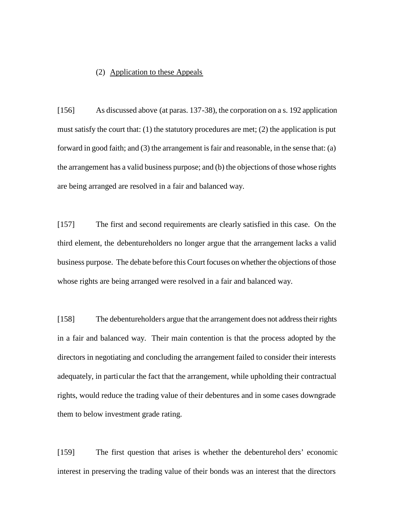## (2) Application to these Appeals

[156] As discussed above (at paras. 137-38), the corporation on a s. 192 application must satisfy the court that: (1) the statutory procedures are met; (2) the application is put forward in good faith; and (3) the arrangement is fair and reasonable, in the sense that: (a) the arrangement has a valid business purpose; and (b) the objections of those whose rights are being arranged are resolved in a fair and balanced way.

[157] The first and second requirements are clearly satisfied in this case. On the third element, the debentureholders no longer argue that the arrangement lacks a valid business purpose. The debate before this Court focuses on whether the objections of those whose rights are being arranged were resolved in a fair and balanced way.

[158] The debentureholders argue that the arrangement does not address their rights in a fair and balanced way. Their main contention is that the process adopted by the directors in negotiating and concluding the arrangement failed to consider their interests adequately, in particular the fact that the arrangement, while upholding their contractual rights, would reduce the trading value of their debentures and in some cases downgrade them to below investment grade rating.

[159] The first question that arises is whether the debenturehol ders' economic interest in preserving the trading value of their bonds was an interest that the directors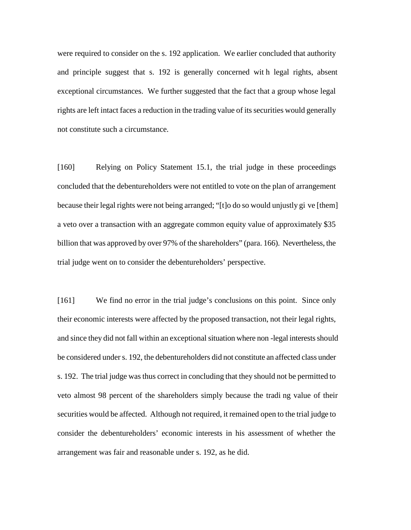were required to consider on the s. 192 application. We earlier concluded that authority and principle suggest that s. 192 is generally concerned wit h legal rights, absent exceptional circumstances. We further suggested that the fact that a group whose legal rights are left intact faces a reduction in the trading value of its securities would generally not constitute such a circumstance.

[160] Relying on Policy Statement 15.1, the trial judge in these proceedings concluded that the debentureholders were not entitled to vote on the plan of arrangement because their legal rights were not being arranged; "[t]o do so would unjustly gi ve [them] a veto over a transaction with an aggregate common equity value of approximately \$35 billion that was approved by over 97% of the shareholders" (para. 166). Nevertheless, the trial judge went on to consider the debentureholders' perspective.

[161] We find no error in the trial judge's conclusions on this point. Since only their economic interests were affected by the proposed transaction, not their legal rights, and since they did not fall within an exceptional situation where non -legal interests should be considered under s. 192, the debentureholders did not constitute an affected class under s. 192. The trial judge was thus correct in concluding that they should not be permitted to veto almost 98 percent of the shareholders simply because the tradi ng value of their securities would be affected. Although not required, it remained open to the trial judge to consider the debentureholders' economic interests in his assessment of whether the arrangement was fair and reasonable under s. 192, as he did.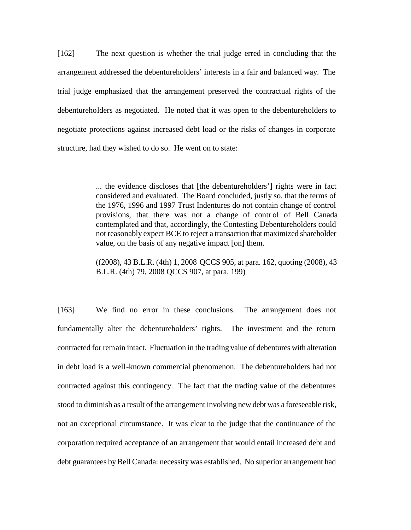[162] The next question is whether the trial judge erred in concluding that the arrangement addressed the debentureholders' interests in a fair and balanced way. The trial judge emphasized that the arrangement preserved the contractual rights of the debentureholders as negotiated. He noted that it was open to the debentureholders to negotiate protections against increased debt load or the risks of changes in corporate structure, had they wished to do so. He went on to state:

> ... the evidence discloses that [the debentureholders'] rights were in fact considered and evaluated. The Board concluded, justly so, that the terms of the 1976, 1996 and 1997 Trust Indentures do not contain change of control provisions, that there was not a change of contr ol of Bell Canada contemplated and that, accordingly, the Contesting Debentureholders could not reasonably expect BCE to reject a transaction that maximized shareholder value, on the basis of any negative impact [on] them.

> ((2008), 43 B.L.R. (4th) 1, 2008 QCCS 905, at para. 162, quoting (2008), 43 B.L.R. (4th) 79, 2008 QCCS 907, at para. 199)

[163] We find no error in these conclusions. The arrangement does not fundamentally alter the debentureholders' rights. The investment and the return contracted for remain intact. Fluctuation in the trading value of debentures with alteration in debt load is a well-known commercial phenomenon. The debentureholders had not contracted against this contingency. The fact that the trading value of the debentures stood to diminish as a result of the arrangement involving new debt was a foreseeable risk, not an exceptional circumstance. It was clear to the judge that the continuance of the corporation required acceptance of an arrangement that would entail increased debt and debt guarantees by Bell Canada: necessity was established. No superior arrangement had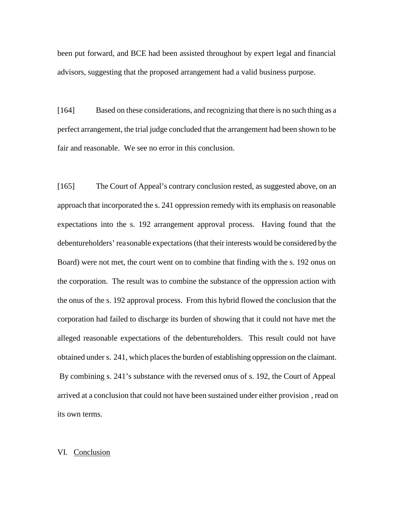been put forward, and BCE had been assisted throughout by expert legal and financial advisors, suggesting that the proposed arrangement had a valid business purpose.

[164] Based on these considerations, and recognizing that there is no such thing as a perfect arrangement, the trial judge concluded that the arrangement had been shown to be fair and reasonable. We see no error in this conclusion.

[165] The Court of Appeal's contrary conclusion rested, as suggested above, on an approach that incorporated the s. 241 oppression remedy with its emphasis on reasonable expectations into the s. 192 arrangement approval process. Having found that the debentureholders' reasonable expectations (that their interests would be considered by the Board) were not met, the court went on to combine that finding with the s. 192 onus on the corporation. The result was to combine the substance of the oppression action with the onus of the s. 192 approval process. From this hybrid flowed the conclusion that the corporation had failed to discharge its burden of showing that it could not have met the alleged reasonable expectations of the debentureholders. This result could not have obtained under s. 241, which places the burden of establishing oppression on the claimant. By combining s. 241's substance with the reversed onus of s. 192, the Court of Appeal arrived at a conclusion that could not have been sustained under either provision , read on its own terms.

## VI. Conclusion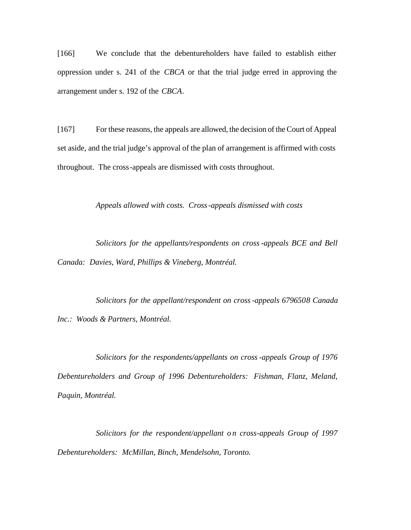[166] We conclude that the debentureholders have failed to establish either oppression under s. 241 of the *CBCA* or that the trial judge erred in approving the arrangement under s. 192 of the *CBCA*.

[167] For these reasons, the appeals are allowed, the decision of the Court of Appeal set aside, and the trial judge's approval of the plan of arrangement is affirmed with costs throughout. The cross-appeals are dismissed with costs throughout.

*Appeals allowed with costs. Cross-appeals dismissed with costs*

*Solicitors for the appellants/respondents on cross -appeals BCE and Bell Canada: Davies, Ward, Phillips & Vineberg, Montréal.*

*Solicitors for the appellant/respondent on cross-appeals 6796508 Canada Inc.: Woods & Partners, Montréal.*

*Solicitors for the respondents/appellants on cross -appeals Group of 1976 Debentureholders and Group of 1996 Debentureholders: Fishman, Flanz, Meland, Paquin, Montréal.*

Solicitors for the respondent/appellant on cross-appeals Group of 1997 *Debentureholders: McMillan, Binch, Mendelsohn, Toronto.*